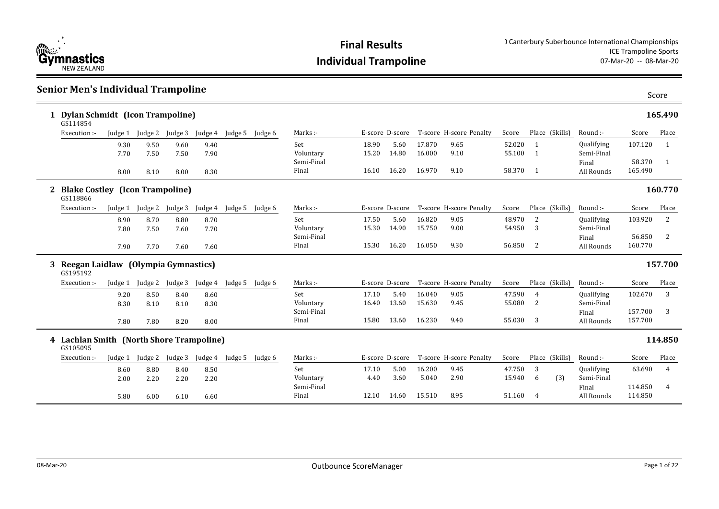

### **Senior Men's Individual Trampoline**

|   | 1 Dylan Schmidt (Icon Trampoline)<br>GS114854        |         |                 |         |         |         |         |            |                 |       |        |                         |        |                |            |         | 165.490        |
|---|------------------------------------------------------|---------|-----------------|---------|---------|---------|---------|------------|-----------------|-------|--------|-------------------------|--------|----------------|------------|---------|----------------|
|   | Execution :-                                         |         | Judge 1 Judge 2 | Judge 3 | Judge 4 | Judge 5 | Judge 6 | Marks:-    | E-score D-score |       |        | T-score H-score Penalty | Score  | Place (Skills) | Round :-   | Score   | Place          |
|   |                                                      | 9.30    | 9.50            | 9.60    | 9.40    |         |         | Set        | 18.90           | 5.60  | 17.870 | 9.65                    | 52.020 |                | Qualifying | 107.120 | 1              |
|   |                                                      | 7.70    | 7.50            | 7.50    | 7.90    |         |         | Voluntary  | 15.20           | 14.80 | 16.000 | 9.10                    | 55.100 | $\mathbf{1}$   | Semi-Final |         |                |
|   |                                                      |         |                 |         |         |         |         | Semi-Final |                 |       |        |                         |        |                | Final      | 58.370  | $\mathbf{1}$   |
|   |                                                      | 8.00    | 8.10            | 8.00    | 8.30    |         |         | Final      | 16.10           | 16.20 | 16.970 | 9.10                    | 58.370 | -1             | All Rounds | 165.490 |                |
|   | <b>Blake Costley (Icon Trampoline)</b><br>GS118866   |         |                 |         |         |         |         |            |                 |       |        |                         |        |                |            |         | 160.770        |
|   | Execution :-                                         | Judge 1 | Judge 2         | Judge 3 | Judge 4 | Judge 5 | Judge 6 | Marks:-    | E-score D-score |       |        | T-score H-score Penalty | Score  | Place (Skills) | Round :-   | Score   | Place          |
|   |                                                      | 8.90    | 8.70            | 8.80    | 8.70    |         |         | Set        | 17.50           | 5.60  | 16.820 | 9.05                    | 48.970 | 2              | Qualifying | 103.920 | 2              |
|   |                                                      | 7.80    | 7.50            | 7.60    | 7.70    |         |         | Voluntary  | 15.30           | 14.90 | 15.750 | 9.00                    | 54.950 | 3              | Semi-Final |         |                |
|   |                                                      |         |                 |         |         |         |         | Semi-Final |                 |       |        |                         |        |                | Final      | 56.850  | 2              |
|   |                                                      | 7.90    | 7.70            | 7.60    | 7.60    |         |         | Final      | 15.30           | 16.20 | 16.050 | 9.30                    | 56.850 | 2              | All Rounds | 160.770 |                |
| 3 | Reegan Laidlaw (Olympia Gymnastics)<br>GS195192      |         |                 |         |         |         |         |            |                 |       |        |                         |        |                |            |         | 157.700        |
|   | Execution :-                                         | Judge 1 | Judge 2         | Judge 3 | Judge 4 | Judge 5 | Judge 6 | Marks:-    | E-score D-score |       |        | T-score H-score Penalty | Score  | Place (Skills) | Round :-   | Score   | Place          |
|   |                                                      | 9.20    | 8.50            | 8.40    | 8.60    |         |         | Set        | 17.10           | 5.40  | 16.040 | 9.05                    | 47.590 | $\overline{4}$ | Qualifying | 102.670 | 3              |
|   |                                                      | 8.30    | 8.10            | 8.10    | 8.30    |         |         | Voluntary  | 16.40           | 13.60 | 15.630 | 9.45                    | 55.080 | 2              | Semi-Final |         |                |
|   |                                                      |         |                 |         |         |         |         | Semi-Final |                 |       |        |                         |        |                | Final      | 157.700 | 3              |
|   |                                                      | 7.80    | 7.80            | 8.20    | 8.00    |         |         | Final      | 15.80           | 13.60 | 16.230 | 9.40                    | 55.030 | 3              | All Rounds | 157.700 |                |
|   | 4 Lachlan Smith (North Shore Trampoline)<br>GS105095 |         |                 |         |         |         |         |            |                 |       |        |                         |        |                |            |         | 114.850        |
|   | Execution:                                           | Judge 1 | Judge 2         | Judge 3 | Judge 4 | Judge 5 | Judge 6 | Marks:-    | E-score D-score |       |        | T-score H-score Penalty | Score  | Place (Skills) | Round:-    | Score   | Place          |
|   |                                                      |         |                 | 8.40    | 8.50    |         |         | Set        | 17.10           | 5.00  | 16.200 | 9.45                    | 47.750 | 3              | Qualifying | 63.690  | $\overline{4}$ |
|   |                                                      | 8.60    | 8.80            |         |         |         |         |            |                 |       |        |                         |        |                |            |         |                |
|   |                                                      | 2.00    | 2.20            | 2.20    |         |         |         | Voluntary  | 4.40            | 3.60  | 5.040  | 2.90                    | 15.940 | (3)<br>6       | Semi-Final |         |                |
|   |                                                      |         |                 |         | 2.20    |         |         | Semi-Final |                 |       |        |                         |        |                | Final      | 114.850 | 4              |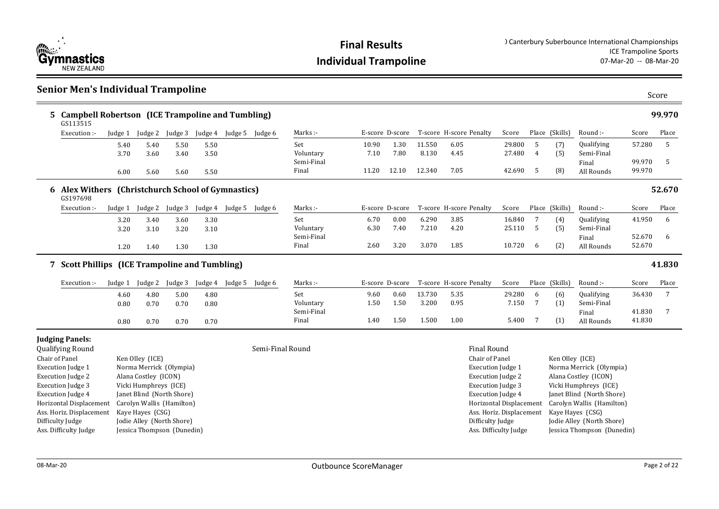

|                | <b>Senior Men's Individual Trampoline</b>                                                                                                                                                                                                                             |                      |                                                                                                                                                                                                                                      |                      |                      |                         |                  |                                         |                      |                      |                          |                         |                                                                                                                                                                                                                                                          |                           |                   |                                                                                                                                                                                                                   |                            | Score  |
|----------------|-----------------------------------------------------------------------------------------------------------------------------------------------------------------------------------------------------------------------------------------------------------------------|----------------------|--------------------------------------------------------------------------------------------------------------------------------------------------------------------------------------------------------------------------------------|----------------------|----------------------|-------------------------|------------------|-----------------------------------------|----------------------|----------------------|--------------------------|-------------------------|----------------------------------------------------------------------------------------------------------------------------------------------------------------------------------------------------------------------------------------------------------|---------------------------|-------------------|-------------------------------------------------------------------------------------------------------------------------------------------------------------------------------------------------------------------|----------------------------|--------|
| 5.             | <b>Campbell Robertson (ICE Trampoline and Tumbling)</b><br>GS113515                                                                                                                                                                                                   |                      |                                                                                                                                                                                                                                      |                      |                      |                         |                  |                                         |                      |                      |                          |                         |                                                                                                                                                                                                                                                          |                           |                   |                                                                                                                                                                                                                   |                            | 99.970 |
|                | Execution :-                                                                                                                                                                                                                                                          | Judge 1              | Judge 2                                                                                                                                                                                                                              | Judge 3              |                      | Judge 4 Judge 5 Judge 6 |                  | Marks:-                                 |                      | E-score D-score      |                          | T-score H-score Penalty | Score                                                                                                                                                                                                                                                    |                           | Place (Skills)    | Round :-                                                                                                                                                                                                          | Score                      | Place  |
|                |                                                                                                                                                                                                                                                                       | 5.40<br>3.70         | 5.40<br>3.60                                                                                                                                                                                                                         | 5.50<br>3.40         | 5.50<br>3.50         |                         |                  | Set<br>Voluntary<br>Semi-Final          | 10.90<br>7.10        | 1.30<br>7.80         | 11.550<br>8.130          | 6.05<br>4.45            | 29.800<br>27.480                                                                                                                                                                                                                                         | 5<br>$\overline{4}$       | (7)<br>(5)        | <b>Qualifying</b><br>Semi-Final<br>Final                                                                                                                                                                          | 57.280<br>99.970           | 5<br>5 |
|                |                                                                                                                                                                                                                                                                       | 6.00                 | 5.60                                                                                                                                                                                                                                 | 5.60                 | 5.50                 |                         |                  | Final                                   | 11.20                | 12.10                | 12.340                   | 7.05                    | 42.690                                                                                                                                                                                                                                                   | 5                         | (8)               | All Rounds                                                                                                                                                                                                        | 99.970                     |        |
|                | 6 Alex Withers (Christchurch School of Gymnastics)<br>GS197698                                                                                                                                                                                                        |                      |                                                                                                                                                                                                                                      |                      |                      |                         |                  |                                         |                      |                      |                          |                         |                                                                                                                                                                                                                                                          |                           |                   |                                                                                                                                                                                                                   |                            | 52.670 |
|                | Execution :-                                                                                                                                                                                                                                                          | Judge 1              | Judge 2                                                                                                                                                                                                                              | Judge 3              |                      | Judge 4 Judge 5 Judge 6 |                  | Marks :-                                |                      | E-score D-score      |                          | T-score H-score Penalty | Score                                                                                                                                                                                                                                                    |                           | Place (Skills)    | Round :-                                                                                                                                                                                                          | Score                      | Place  |
|                |                                                                                                                                                                                                                                                                       | 3.20<br>3.20         | 3.40<br>3.10                                                                                                                                                                                                                         | 3.60<br>3.20         | 3.30<br>3.10         |                         |                  | Set<br>Voluntary<br>Semi-Final          | 6.70<br>6.30         | 0.00<br>7.40         | 6.290<br>7.210           | 3.85<br>4.20            | 16.840<br>25.110                                                                                                                                                                                                                                         | $7\overline{ }$<br>-5     | (4)<br>(5)        | Qualifying<br>Semi-Final<br>Final                                                                                                                                                                                 | 41.950<br>52.670           | 6<br>6 |
|                |                                                                                                                                                                                                                                                                       | 1.20                 | 1.40                                                                                                                                                                                                                                 | 1.30                 | 1.30                 |                         |                  | Final                                   | 2.60                 | 3.20                 | 3.070                    | 1.85                    | 10.720                                                                                                                                                                                                                                                   | 6                         | (2)               | All Rounds                                                                                                                                                                                                        | 52.670                     |        |
|                | 7 Scott Phillips (ICE Trampoline and Tumbling)                                                                                                                                                                                                                        |                      |                                                                                                                                                                                                                                      |                      |                      |                         |                  |                                         |                      |                      |                          |                         |                                                                                                                                                                                                                                                          |                           |                   |                                                                                                                                                                                                                   |                            | 41.830 |
|                | Execution :-                                                                                                                                                                                                                                                          | Judge 1              | Judge 2                                                                                                                                                                                                                              | Judge 3              | Judge 4              | Judge 5                 | Judge 6          | Marks :-                                |                      | E-score D-score      |                          | T-score H-score Penalty | Score                                                                                                                                                                                                                                                    |                           | Place (Skills)    | Round :-                                                                                                                                                                                                          | Score                      | Place  |
|                |                                                                                                                                                                                                                                                                       | 4.60<br>0.80<br>0.80 | 4.80<br>0.70<br>0.70                                                                                                                                                                                                                 | 5.00<br>0.70<br>0.70 | 4.80<br>0.80<br>0.70 |                         |                  | Set<br>Voluntary<br>Semi-Final<br>Final | 9.60<br>1.50<br>1.40 | 0.60<br>1.50<br>1.50 | 13.730<br>3.200<br>1.500 | 5.35<br>0.95<br>1.00    | 29.280<br>7.150<br>5.400                                                                                                                                                                                                                                 | 6<br>$7\overline{ }$<br>7 | (6)<br>(1)<br>(1) | <b>Qualifying</b><br>Semi-Final<br>Final<br>All Rounds                                                                                                                                                            | 36.430<br>41.830<br>41.830 | 7<br>7 |
| Chair of Panel | <b>Judging Panels:</b><br><b>Qualifying Round</b><br><b>Execution Judge 1</b><br><b>Execution Judge 2</b><br><b>Execution Judge 3</b><br><b>Execution Judge 4</b><br>Horizontal Displacement<br>Ass. Horiz. Displacement<br>Difficulty Judge<br>Ass. Difficulty Judge |                      | Ken Olley (ICE)<br>Norma Merrick (Olympia)<br>Alana Costley (ICON)<br>Vicki Humphreys (ICE)<br>Janet Blind (North Shore)<br>Carolyn Wallis (Hamilton)<br>Kave Haves (CSG)<br>Jodie Alley (North Shore)<br>Jessica Thompson (Dunedin) |                      |                      |                         | Semi-Final Round |                                         |                      |                      |                          |                         | <b>Final Round</b><br>Chair of Panel<br><b>Execution Judge 1</b><br><b>Execution Judge 2</b><br><b>Execution Judge 3</b><br><b>Execution Judge 4</b><br>Horizontal Displacement<br>Ass. Horiz. Displacement<br>Difficulty Judge<br>Ass. Difficulty Judge |                           | Ken Olley (ICE)   | Norma Merrick (Olympia)<br>Alana Costley (ICON)<br>Vicki Humphreys (ICE)<br>Janet Blind (North Shore)<br>Carolyn Wallis (Hamilton)<br>Kaye Hayes (CSG)<br>Jodie Alley (North Shore)<br>Jessica Thompson (Dunedin) |                            |        |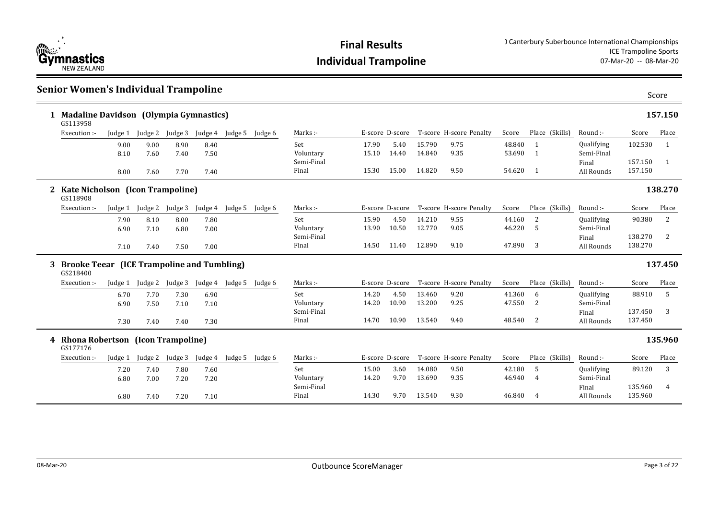

### **Senior Women's Individual Trampoline**

|   | 1 Madaline Davidson (Olympia Gymnastics)<br>GS113958          |         |         |         |         |         |         |                     |                 |       |        |                         |        |                |            |                    | 157.150      |
|---|---------------------------------------------------------------|---------|---------|---------|---------|---------|---------|---------------------|-----------------|-------|--------|-------------------------|--------|----------------|------------|--------------------|--------------|
|   | Execution :-                                                  | Judge 1 | Judge 2 | Judge 3 | Judge 4 | Judge 5 | Judge 6 | Marks :-            | E-score D-score |       |        | T-score H-score Penalty | Score  | Place (Skills) | Round :-   | Score              | Place        |
|   |                                                               | 9.00    | 9.00    | 8.90    | 8.40    |         |         | Set                 | 17.90           | 5.40  | 15.790 | 9.75                    | 48.840 | $\mathbf{1}$   | Qualifying | 102.530            | 1            |
|   |                                                               | 8.10    | 7.60    | 7.40    | 7.50    |         |         | Voluntary           | 15.10           | 14.40 | 14.840 | 9.35                    | 53.690 | $\overline{1}$ | Semi-Final |                    |              |
|   |                                                               |         |         |         |         |         |         | Semi-Final          |                 |       |        |                         |        |                | Final      | 157.150            | $\mathbf{1}$ |
|   |                                                               | 8.00    | 7.60    | 7.70    | 7.40    |         |         | Final               | 15.30           | 15.00 | 14.820 | 9.50                    | 54.620 | $\overline{1}$ | All Rounds | 157.150            |              |
|   | 2 Kate Nicholson (Icon Trampoline)<br>GS118908                |         |         |         |         |         |         |                     |                 |       |        |                         |        |                |            |                    | 138.270      |
|   | Execution :-                                                  | Judge 1 | Judge 2 | Judge 3 | Judge 4 | Judge 5 | Judge 6 | Marks :-            | E-score D-score |       |        | T-score H-score Penalty | Score  | Place (Skills) | Round :-   | Score              | Place        |
|   |                                                               | 7.90    | 8.10    | 8.00    | 7.80    |         |         | Set                 | 15.90           | 4.50  | 14.210 | 9.55                    | 44.160 | 2              | Qualifying | 90.380             | 2            |
|   |                                                               | 6.90    | 7.10    | 6.80    | 7.00    |         |         | Voluntary           | 13.90           | 10.50 | 12.770 | 9.05                    | 46.220 | $\overline{5}$ | Semi-Final |                    |              |
|   |                                                               |         |         |         |         |         |         | Semi-Final          |                 |       |        |                         |        |                | Final      | 138.270            | 2            |
|   |                                                               | 7.10    | 7.40    | 7.50    | 7.00    |         |         | Final               | 14.50           | 11.40 | 12.890 | 9.10                    | 47.890 | 3              | All Rounds | 138.270            |              |
| 3 | <b>Brooke Teear (ICE Trampoline and Tumbling)</b><br>GS218400 |         |         |         |         |         |         |                     |                 |       |        |                         |        |                |            |                    | 137.450      |
|   | Execution :-                                                  | Judge 1 | Judge 2 | Judge 3 | Judge 4 | Judge 5 | Judge 6 | Marks:-             | E-score D-score |       |        | T-score H-score Penalty | Score  | Place (Skills) | Round :-   | Score              | Place        |
|   |                                                               | 6.70    | 7.70    | 7.30    | 6.90    |         |         | Set                 | 14.20           | 4.50  | 13.460 | 9.20                    | 41.360 | 6              | Qualifying | 88.910             | -5           |
|   |                                                               | 6.90    | 7.50    | 7.10    | 7.10    |         |         | Voluntary           | 14.20           | 10.90 | 13.200 | 9.25                    | 47.550 | 2              | Semi-Final |                    |              |
|   |                                                               |         |         |         |         |         |         | Semi-Final          |                 |       |        |                         |        |                | Final      | 137.450            | 3            |
|   |                                                               | 7.30    | 7.40    | 7.40    | 7.30    |         |         | Final               | 14.70           | 10.90 | 13.540 | 9.40                    | 48.540 | 2              | All Rounds | 137.450            |              |
|   | 4 Rhona Robertson (Icon Trampoline)<br>GS177176               |         |         |         |         |         |         |                     |                 |       |        |                         |        |                |            |                    | 135.960      |
|   | Execution :-                                                  | Judge 1 | Judge 2 | Judge 3 | Judge 4 | Judge 5 | Judge 6 | Marks :-            | E-score D-score |       |        | T-score H-score Penalty | Score  | Place (Skills) | Round :-   | Score              | Place        |
|   |                                                               |         |         |         |         |         |         |                     |                 |       |        |                         |        |                |            |                    |              |
|   |                                                               | 7.20    | 7.40    | 7.80    | 7.60    |         |         | Set                 | 15.00           | 3.60  | 14.080 | 9.50                    | 42.180 | 5              | Qualifying | 89.120             | 3            |
|   |                                                               | 6.80    | 7.00    | 7.20    | 7.20    |         |         | Voluntary           | 14.20           | 9.70  | 13.690 | 9.35                    | 46.940 | 4              | Semi-Final |                    |              |
|   |                                                               |         |         |         |         |         |         | Semi-Final<br>Final | 14.30           | 9.70  | 13.540 | 9.30                    | 46.840 | $\overline{4}$ | Final      | 135.960<br>135.960 | 4            |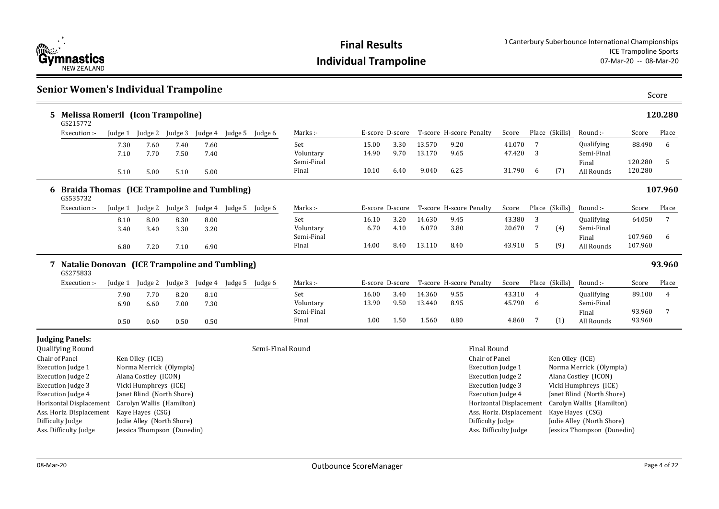

| <b>Senior Women's Individual Trampoline</b>                                       |              |                                            |              |              |                         |                  |                     |                 |              |                  |                                      |                   |                      |                 |                          |                    | Score   |
|-----------------------------------------------------------------------------------|--------------|--------------------------------------------|--------------|--------------|-------------------------|------------------|---------------------|-----------------|--------------|------------------|--------------------------------------|-------------------|----------------------|-----------------|--------------------------|--------------------|---------|
| <b>Melissa Romeril (Icon Trampoline)</b><br>GS215772                              |              |                                            |              |              |                         |                  |                     |                 |              |                  |                                      |                   |                      |                 |                          |                    | 120.280 |
| Execution :-                                                                      | Judge 1      | Judge 2                                    | Judge 3      | Judge 4      | Judge 5 Judge 6         |                  | Marks:-             | E-score D-score |              |                  | T-score H-score Penalty              | Score             |                      | Place (Skills)  | Round :-                 | Score              | Place   |
|                                                                                   | 7.30<br>7.10 | 7.60<br>7.70                               | 7.40<br>7.50 | 7.60<br>7.40 |                         |                  | Set<br>Voluntary    | 15.00<br>14.90  | 3.30<br>9.70 | 13.570<br>13.170 | 9.20<br>9.65                         | 41.070<br>47.420  | $7\overline{ }$<br>3 |                 | Qualifying<br>Semi-Final | 88.490             | 6       |
|                                                                                   | 5.10         | 5.00                                       | 5.10         | 5.00         |                         |                  | Semi-Final<br>Final | 10.10           | 6.40         | 9.040            | 6.25                                 | 31.790            | 6                    | (7)             | Final<br>All Rounds      | 120.280<br>120.280 | 5       |
| 6 Braida Thomas (ICE Trampoline and Tumbling)<br>GS535732                         |              |                                            |              |              |                         |                  |                     |                 |              |                  |                                      |                   |                      |                 |                          |                    | 107.960 |
| Execution:                                                                        | Judge 1      | Judge 2                                    | Judge 3      | Judge 4      | Judge 5                 | Judge 6          | Marks :-            | E-score D-score |              |                  | T-score H-score Penalty              | Score             |                      | Place (Skills)  | Round :-                 | Score              | Place   |
|                                                                                   | 8.10<br>3.40 | 8.00<br>3.40                               | 8.30<br>3.30 | 8.00<br>3.20 |                         |                  | Set<br>Voluntary    | 16.10<br>6.70   | 3.20<br>4.10 | 14.630<br>6.070  | 9.45<br>3.80                         | 43.380<br>20.670  | 3<br>$7\overline{ }$ | (4)             | Qualifying<br>Semi-Final | 64.050             | 7       |
|                                                                                   | 6.80         | 7.20                                       | 7.10         | 6.90         |                         |                  | Semi-Final<br>Final | 14.00           | 8.40         | 13.110           | 8.40                                 | 43.910            | 5                    | (9)             | Final<br>All Rounds      | 107.960<br>107.960 | 6       |
| 7 Natalie Donovan (ICE Trampoline and Tumbling)<br>GS275833                       |              |                                            |              |              |                         |                  |                     |                 |              |                  |                                      |                   |                      |                 |                          |                    | 93.960  |
| Execution :-                                                                      | Judge 1      | Judge 2                                    | Judge 3      |              | Judge 4 Judge 5 Judge 6 |                  | Marks:-             | E-score D-score |              |                  | T-score H-score Penalty              | Score             |                      | Place (Skills)  | Round:-                  | Score              | Place   |
|                                                                                   | 7.90<br>6.90 | 7.70<br>6.60                               | 8.20<br>7.00 | 8.10<br>7.30 |                         |                  | Set<br>Voluntary    | 16.00<br>13.90  | 3.40<br>9.50 | 14.360<br>13.440 | 9.55<br>8.95                         | 43.310<br>45.790  | $\overline{4}$<br>6  |                 | Qualifying<br>Semi-Final | 89.100             | 4       |
|                                                                                   | 0.50         | 0.60                                       | 0.50         | 0.50         |                         |                  | Semi-Final<br>Final | 1.00            | 1.50         | 1.560            | 0.80                                 | 4.860             | 7                    | (1)             | Final<br>All Rounds      | 93.960<br>93.960   | 7       |
| <b>Judging Panels:</b><br>Qualifying Round<br>Chair of Panel<br>Execution Judge 1 |              | Ken Olley (ICE)<br>Norma Merrick (Olympia) |              |              |                         | Semi-Final Round |                     |                 |              |                  | <b>Final Round</b><br>Chair of Panel | Execution Judge 1 |                      | Ken Olley (ICE) | Norma Merrick (Olympia)  |                    |         |

| Chair of Panel           | Ken Olley (ICE)            |
|--------------------------|----------------------------|
| <b>Execution Judge 1</b> | Norma Merrick (Olympia)    |
| <b>Execution Judge 2</b> | Alana Costley (ICON)       |
| <b>Execution Judge 3</b> | Vicki Humphreys (ICE)      |
| <b>Execution Judge 4</b> | Janet Blind (North Shore)  |
| Horizontal Displacement  | Carolyn Wallis (Hamilton)  |
| Ass. Horiz. Displacement | Kaye Hayes (CSG)           |
| Difficulty Judge         | Jodie Alley (North Shore)  |
| Ass. Difficulty Judge    | Jessica Thompson (Dunedin) |
|                          |                            |

### Execution Judge 1 Norma Merrick (Olympia) Execution Judge 2 Alana Costley (ICON) Execution Judge 3 Vicki Humphreys (ICE) Execution Judge 4 Janet Blind (North Shore) Horizontal Displacement Carolyn Wallis (Hamilton) Ass. Horiz. Displacement Kaye Hayes (CSG) Difficulty Judge Jodie Alley (North Shore) Ass. Difficulty Judge Jessica Thompson (Dunedin)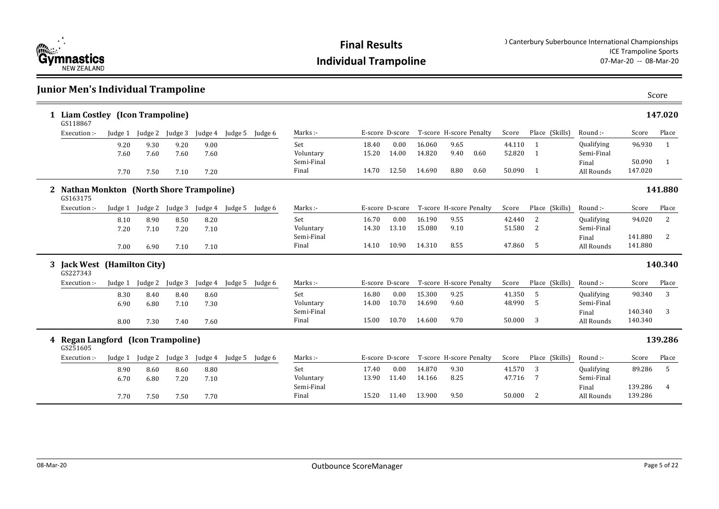

### **Junior Men's Individual Trampoline**

| 1 Liam Costley (Icon Trampoline)<br>GS118867          |         |                         |         |         |                 |         |            |       |                 |        |                         |      |        |                |            |         | 147.020 |
|-------------------------------------------------------|---------|-------------------------|---------|---------|-----------------|---------|------------|-------|-----------------|--------|-------------------------|------|--------|----------------|------------|---------|---------|
| Execution :-                                          |         | Judge 1 Judge 2 Judge 3 |         | Judge 4 | Judge 5         | Judge 6 | Marks :-   |       | E-score D-score |        | T-score H-score Penalty |      | Score  | Place (Skills) | Round :-   | Score   | Place   |
|                                                       | 9.20    | 9.30                    | 9.20    | 9.00    |                 |         | Set        | 18.40 | 0.00            | 16.060 | 9.65                    |      | 44.110 | $\mathbf{1}$   | Qualifying | 96.930  | -1      |
|                                                       | 7.60    | 7.60                    | 7.60    | 7.60    |                 |         | Voluntary  | 15.20 | 14.00           | 14.820 | 9.40                    | 0.60 | 52.820 | 1              | Semi-Final |         |         |
|                                                       |         |                         |         |         |                 |         | Semi-Final |       |                 |        |                         |      |        |                | Final      | 50.090  | 1       |
|                                                       | 7.70    | 7.50                    | 7.10    | 7.20    |                 |         | Final      | 14.70 | 12.50           | 14.690 | 8.80                    | 0.60 | 50.090 | -1             | All Rounds | 147.020 |         |
| 2 Nathan Monkton (North Shore Trampoline)<br>GS163175 |         |                         |         |         |                 |         |            |       |                 |        |                         |      |        |                |            |         | 141.880 |
| Execution :-                                          | Judge 1 | Judge 2 Judge 3         |         |         | Judge 4 Judge 5 | Judge 6 | Marks :-   |       | E-score D-score |        | T-score H-score Penalty |      | Score  | Place (Skills) | Round:     | Score   | Place   |
|                                                       | 8.10    | 8.90                    | 8.50    | 8.20    |                 |         | Set        | 16.70 | 0.00            | 16.190 | 9.55                    |      | 42.440 | <sup>2</sup>   | Qualifying | 94.020  | 2       |
|                                                       | 7.20    | 7.10                    | 7.20    | 7.10    |                 |         | Voluntary  | 14.30 | 13.10           | 15.080 | 9.10                    |      | 51.580 | 2              | Semi-Final |         |         |
|                                                       |         |                         |         |         |                 |         | Semi-Final |       |                 |        |                         |      |        |                | Final      | 141.880 | 2       |
|                                                       | 7.00    | 6.90                    | 7.10    | 7.10    |                 |         | Final      | 14.10 | 10.90           | 14.310 | 8.55                    |      | 47.860 | - 5            | All Rounds | 141.880 |         |
| 3 Jack West (Hamilton City)<br>GS227343               |         |                         |         |         |                 |         |            |       |                 |        |                         |      |        |                |            |         | 140.340 |
| Execution :-                                          | Judge 1 | Judge 2                 | Judge 3 | Judge 4 | Judge 5         | Judge 6 | Marks :-   |       | E-score D-score |        | T-score H-score Penalty |      | Score  | Place (Skills) | Round :-   | Score   | Place   |
|                                                       | 8.30    | 8.40                    | 8.40    | 8.60    |                 |         | Set        | 16.80 | 0.00            | 15.300 | 9.25                    |      | 41.350 | -5             | Qualifying | 90.340  | 3       |
|                                                       | 6.90    | 6.80                    | 7.10    | 7.30    |                 |         | Voluntary  | 14.00 | 10.70           | 14.690 | 9.60                    |      | 48.990 | -5             | Semi-Final |         |         |
|                                                       |         |                         |         |         |                 |         | Semi-Final |       |                 |        |                         |      |        |                | Final      | 140.340 | 3       |
|                                                       | 8.00    | 7.30                    | 7.40    | 7.60    |                 |         | Final      | 15.00 | 10.70           | 14.600 | 9.70                    |      | 50.000 | 3              | All Rounds | 140.340 |         |
| 4 Regan Langford (Icon Trampoline)<br>GS251605        |         |                         |         |         |                 |         |            |       |                 |        |                         |      |        |                |            |         | 139.286 |
| Execution :-                                          | Judge 1 | Judge 2                 | Judge 3 | Judge 4 | Judge 5 Judge 6 |         | Marks:-    |       | E-score D-score |        | T-score H-score Penalty |      | Score  | Place (Skills) | Round:-    | Score   | Place   |
|                                                       | 8.90    | 8.60                    | 8.60    | 8.80    |                 |         | Set        | 17.40 | 0.00            | 14.870 | 9.30                    |      | 41.570 | 3              | Qualifying | 89.286  | 5       |
|                                                       | 6.70    | 6.80                    | 7.20    | 7.10    |                 |         | Voluntary  | 13.90 | 11.40           | 14.166 | 8.25                    |      | 47.716 | 7              | Semi-Final |         |         |
|                                                       |         |                         |         |         |                 |         |            |       |                 |        |                         |      |        |                |            |         |         |
|                                                       |         |                         |         |         |                 |         | Semi-Final |       |                 |        |                         |      |        |                | Final      | 139.286 | 4       |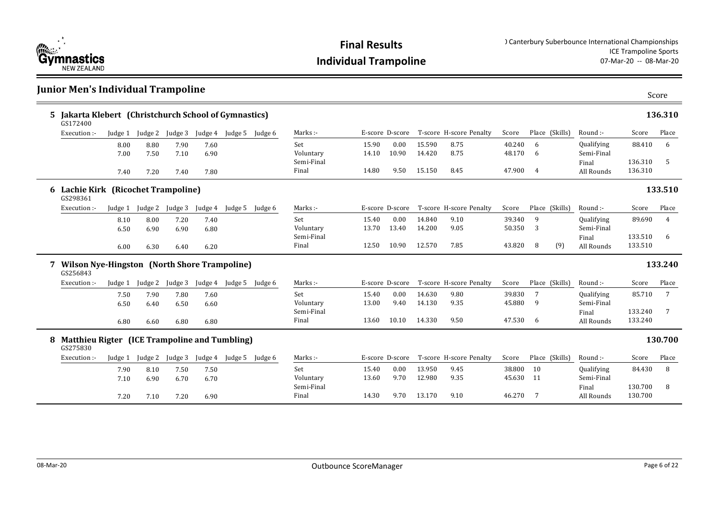

### **Junior Men's Individual Trampoline**

|   | 5 Jakarta Klebert (Christchurch School of Gymnastics)<br>GS172400 |              |                 |              |              |                         |                     |                |                 |                  |                         |                     |                |                |                          |                    | 136.310 |
|---|-------------------------------------------------------------------|--------------|-----------------|--------------|--------------|-------------------------|---------------------|----------------|-----------------|------------------|-------------------------|---------------------|----------------|----------------|--------------------------|--------------------|---------|
|   | Execution :-                                                      |              | Judge 1 Judge 2 | Judge 3      |              | Judge 4 Judge 5 Judge 6 | Marks :-            |                | E-score D-score |                  | T-score H-score Penalty | Score               |                | Place (Skills) | Round:-                  | Score              | Place   |
|   |                                                                   | 8.00<br>7.00 | 8.80<br>7.50    | 7.90<br>7.10 | 7.60<br>6.90 |                         | Set<br>Voluntary    | 15.90<br>14.10 | 0.00<br>10.90   | 15.590<br>14.420 | 8.75<br>8.75            | 40.240<br>48.170    | 6<br>6         |                | Qualifying<br>Semi-Final | 88.410             | 6       |
|   |                                                                   | 7.40         | 7.20            | 7.40         | 7.80         |                         | Semi-Final<br>Final | 14.80          | 9.50            | 15.150           | 8.45                    | 47.900              | $\overline{4}$ |                | Final<br>All Rounds      | 136.310<br>136.310 | 5       |
|   | 6 Lachie Kirk (Ricochet Trampoline)<br>GS298361                   |              |                 |              |              |                         |                     |                |                 |                  |                         |                     |                |                |                          |                    | 133.510 |
|   | Execution :-                                                      | Judge 1      | Judge 2         | Judge 3      | Judge 4      | Judge 5 Judge 6         | Marks :-            |                | E-score D-score |                  | T-score H-score Penalty | Score               |                | Place (Skills) | Round:-                  | Score              | Place   |
|   |                                                                   | 8.10<br>6.50 | 8.00<br>6.90    | 7.20<br>6.90 | 7.40<br>6.80 |                         | Set<br>Voluntary    | 15.40<br>13.70 | 0.00<br>13.40   | 14.840<br>14.200 | 9.10<br>9.05            | 39.340<br>50.350    | 9<br>3         |                | Qualifying<br>Semi-Final | 89.690             | 4       |
|   |                                                                   | 6.00         | 6.30            | 6.40         | 6.20         |                         | Semi-Final<br>Final | 12.50          | 10.90           | 12.570           | 7.85                    | 43.820              | - 8            | (9)            | Final<br>All Rounds      | 133.510<br>133.510 | 6       |
|   |                                                                   |              |                 |              |              |                         |                     |                |                 |                  |                         |                     |                |                |                          |                    |         |
|   | <b>Wilson Nye-Hingston (North Shore Trampoline)</b><br>GS256843   |              |                 |              |              |                         |                     |                |                 |                  |                         |                     |                |                |                          |                    | 133.240 |
|   | Execution :-                                                      | Judge 1      | Judge 2         | Judge 3      | Judge 4      | Judge 5 Judge 6         | Marks:-             |                | E-score D-score |                  | T-score H-score Penalty | Score               |                | Place (Skills) | Round:-                  | Score              | Place   |
|   |                                                                   | 7.50<br>6.50 | 7.90<br>6.40    | 7.80<br>6.50 | 7.60<br>6.60 |                         | Set<br>Voluntary    | 15.40<br>13.00 | 0.00<br>9.40    | 14.630<br>14.130 | 9.80<br>9.35            | 39.830<br>45.880    | 7<br>9         |                | Qualifying<br>Semi-Final | 85.710             | 7       |
|   |                                                                   | 6.80         | 6.60            | 6.80         | 6.80         |                         | Semi-Final<br>Final | 13.60          | 10.10           | 14.330           | 9.50                    | 47.530 6            |                |                | Final<br>All Rounds      | 133.240<br>133.240 | 7       |
| 8 | Matthieu Rigter (ICE Trampoline and Tumbling)                     |              |                 |              |              |                         |                     |                |                 |                  |                         |                     |                |                |                          |                    | 130.700 |
|   | GS275830<br>Execution :-                                          | Judge 1      | Judge 2         | Judge 3      |              | Judge 4 Judge 5 Judge 6 | Marks:-             |                | E-score D-score |                  | T-score H-score Penalty | Score               |                | Place (Skills) | Round:-                  | Score              | Place   |
|   |                                                                   | 7.90<br>7.10 | 8.10<br>6.90    | 7.50<br>6.70 | 7.50<br>6.70 |                         | Set<br>Voluntary    | 15.40<br>13.60 | 0.00<br>9.70    | 13.950<br>12.980 | 9.45<br>9.35            | 38.800<br>45.630 11 | 10             |                | Qualifying<br>Semi-Final | 84.430             | 8       |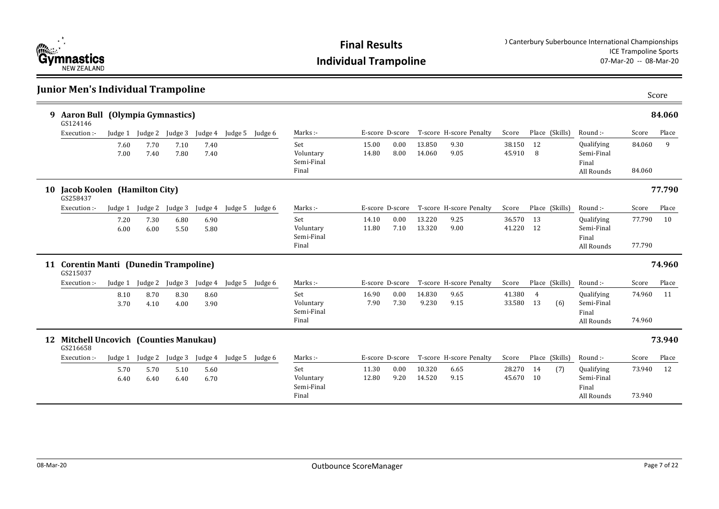

### **Junior Men's Individual Trampoline Aaron Bull (Olympia Gymnastics) 9 84.060** 15.00 0.00 13.850 9.30 0.00 38.150 12 14.80 8.00 14.060 9.05 45.910 8 All Rounds 84.060 Set Voluntary Semi-Final Final Marks :- The Score D-score T-score H-score Penalty Score Place (Skills) Round :-Qualifying Semi-Final Final Score Place 84.060 9 (Skills) GS124146 Execution :- Judge 1 Judge 2 Judge 3 Judge 4 Judge 5 Judge 6 7.60 7.70 7.10 7.40 7.00 7.40 7.80 7.40 **Jacob Koolen (Hamilton City) 10 77.790** 14.10 0.00 13.220 9.25 36.570 13 11.80 7.10 13.320 9.00 41.220 12 All Rounds 277.790 Set Voluntary Semi-Final Final Marks :- F-score D-score T-score H-score Penalty Score Place (Skills) Round :-Qualifying Semi-Final Final Score Place 77.790 10 (Skills) GS258437 Execution :- Judge 1 Judge 2 Judge 3 Judge 4 Judge 5 Judge 6 7.20 7.30 6.80 6.90 6.00 6.00 5.50 5.80 **Corentin Manti (Dunedin Trampoline) 11 74.960** 16.90 0.00 14.830 9.65 41.380 4 7.90 7.30 9.230 9.15 33.580 13 All Rounds 74.960 Set Voluntary Semi-Final Final Marks :- The Score D-score T-score H-score Penalty Score Place (Skills) Round :-Qualifying Semi-Final Final Score Place 74.960 11 Place (Skills) (6) GS215037 Execution :- Judge 1 Judge 2 Judge 3 Judge 4 Judge 5 Judge 6 8.10 8.70 8.30 8.60 3.70 4.10 4.00 3.90 **Mitchell Uncovich (Counties Manukau) 12 73.940** 11.30 0.00 10.320 6.65 0.00 28.270 14 12.80 9.20 14.520 9.15 45.670 10 All Rounds 73.940 Set Voluntary Semi-Final Final Marks :- T-score D-score T-score H-score Penalty Score Place (Skills) Round :-Qualifying Semi-Final Final Score Place 73.940 12 Place (Skills) (7) GS216658 Execution :- Judge 1 Judge 2 Judge 3 Judge 4 Judge 5 Judge 6 5.70 5.70 5.10 5.60 6.40 6.40 6.40 6.70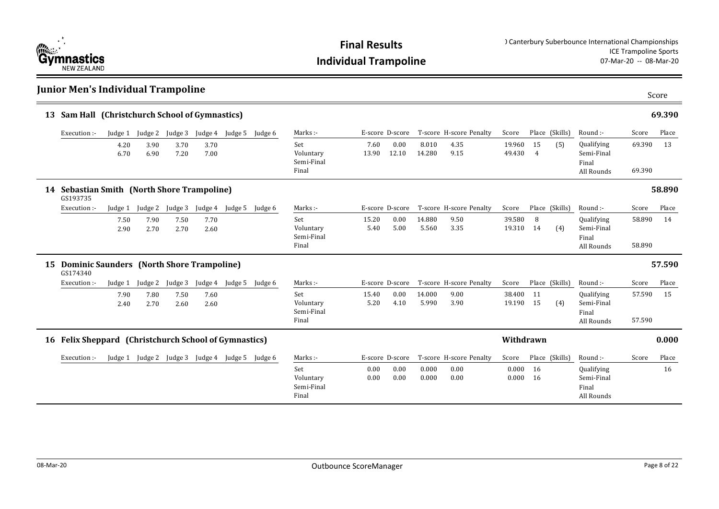

| <b>Junior Men's Individual Trampoline</b>                |              |                         |              |              |                                                 |         |                                         |               |                 |                 |                         |                  |                      |                |                                                 |                  | Score  |
|----------------------------------------------------------|--------------|-------------------------|--------------|--------------|-------------------------------------------------|---------|-----------------------------------------|---------------|-----------------|-----------------|-------------------------|------------------|----------------------|----------------|-------------------------------------------------|------------------|--------|
| 13 Sam Hall (Christchurch School of Gymnastics)          |              |                         |              |              |                                                 |         |                                         |               |                 |                 |                         |                  |                      |                |                                                 |                  | 69.390 |
| Execution :-                                             |              | Judge 1 Judge 2 Judge 3 |              |              | Judge 4 Judge 5                                 | Judge 6 | Marks:-                                 |               | E-score D-score |                 | T-score H-score Penalty | Score            |                      | Place (Skills) | Round :-                                        | Score            | Place  |
|                                                          | 4.20<br>6.70 | 3.90<br>6.90            | 3.70<br>7.20 | 3.70<br>7.00 |                                                 |         | Set<br>Voluntary<br>Semi-Final<br>Final | 7.60<br>13.90 | 0.00<br>12.10   | 8.010<br>14.280 | 4.35<br>9.15            | 19.960<br>49.430 | 15<br>$\overline{4}$ | (5)            | Qualifying<br>Semi-Final<br>Final<br>All Rounds | 69.390<br>69.390 | 13     |
| 14 Sebastian Smith (North Shore Trampoline)<br>GS193735  |              |                         |              |              |                                                 |         |                                         |               |                 |                 |                         |                  |                      |                |                                                 |                  | 58.890 |
| Execution :-                                             | Judge 1      | Judge 2                 | Judge 3      |              | Judge 4 Judge 5                                 | Judge 6 | Marks:-                                 |               | E-score D-score |                 | T-score H-score Penalty | Score            |                      | Place (Skills) | Round :-                                        | Score            | Place  |
|                                                          | 7.50<br>2.90 | 7.90<br>2.70            | 7.50<br>2.70 | 7.70<br>2.60 |                                                 |         | Set<br>Voluntary<br>Semi-Final<br>Final | 15.20<br>5.40 | 0.00<br>5.00    | 14.880<br>5.560 | 9.50<br>3.35            | 39.580<br>19.310 | 8<br>14              | (4)            | Qualifying<br>Semi-Final<br>Final<br>All Rounds | 58.890<br>58.890 | 14     |
| 15 Dominic Saunders (North Shore Trampoline)<br>GS174340 |              |                         |              |              |                                                 |         |                                         |               |                 |                 |                         |                  |                      |                |                                                 |                  | 57.590 |
| Execution :-                                             | Judge 1      | Judge 2                 | Judge 3      |              | Judge 4 Judge 5                                 | Judge 6 | Marks:-                                 |               | E-score D-score |                 | T-score H-score Penalty | Score            |                      | Place (Skills) | Round :-                                        | Score            | Place  |
|                                                          | 7.90<br>2.40 | 7.80<br>2.70            | 7.50<br>2.60 | 7.60<br>2.60 |                                                 |         | Set<br>Voluntary<br>Semi-Final<br>Final | 15.40<br>5.20 | 0.00<br>4.10    | 14.000<br>5.990 | 9.00<br>3.90            | 38.400<br>19.190 | 11<br>15             | (4)            | Qualifying<br>Semi-Final<br>Final<br>All Rounds | 57.590<br>57.590 | 15     |
| 16 Felix Sheppard (Christchurch School of Gymnastics)    |              |                         |              |              |                                                 |         |                                         |               |                 |                 |                         | Withdrawn        |                      |                |                                                 |                  | 0.000  |
| Execution :-                                             |              |                         |              |              | Judge 1 Judge 2 Judge 3 Judge 4 Judge 5 Judge 6 |         | Marks:-                                 |               | E-score D-score |                 | T-score H-score Penalty | Score            |                      | Place (Skills) | Round :-                                        | Score            | Place  |
|                                                          |              |                         |              |              |                                                 |         | Set<br>Voluntary<br>Semi-Final<br>Final | 0.00<br>0.00  | 0.00<br>0.00    | 0.000<br>0.000  | 0.00<br>0.00            | 0.000<br>0.000   | 16<br>16             |                | Qualifying<br>Semi-Final<br>Final<br>All Rounds |                  | 16     |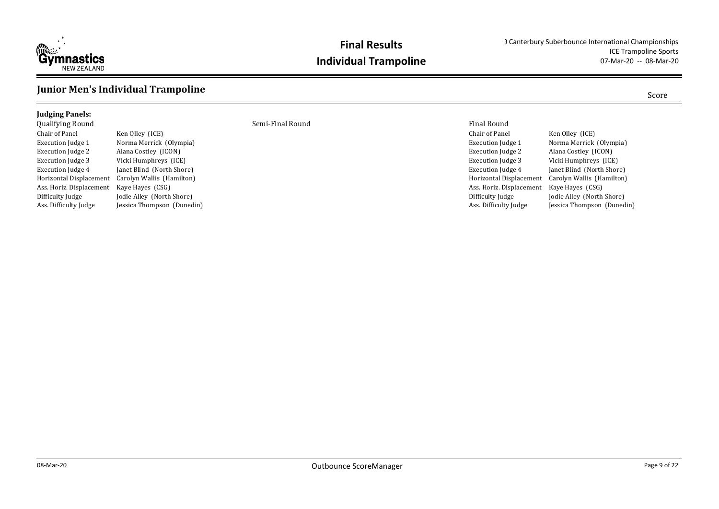

### **Junior Men's Individual Trampoline** Score

### **Judging Panels:**

Chair of Panel Ken Olley (ICE) Execution Judge 2 Alana Costley (ICON) Execution Judge 3 Vicki Humphreys (ICE) Execution Judge 4 Janet Blind (North Shore) Horizontal Displacement Carolyn Wallis (Hamilton) Ass. Horiz. Displacement Kaye Hayes (CSG)<br>Difficulty Judge Jodie Alley (North

Execution Judge 1 Norma Merrick (Olympia) Jodie Alley (North Shore) Ass. Difficulty Judge Jessica Thompson (Dunedin)

Qualifying Round Semi-Final Round Final Round

| riliai iyuulu            |                            |
|--------------------------|----------------------------|
| Chair of Panel           | Ken Olley (ICE)            |
| <b>Execution Judge 1</b> | Norma Merrick (Olympia)    |
| <b>Execution Judge 2</b> | Alana Costley (ICON)       |
| <b>Execution Judge 3</b> | Vicki Humphreys (ICE)      |
| <b>Execution Judge 4</b> | Janet Blind (North Shore)  |
| Horizontal Displacement  | Carolyn Wallis (Hamilton)  |
| Ass. Horiz. Displacement | Kaye Hayes (CSG)           |
| Difficulty Judge         | Jodie Alley (North Shore)  |
| Ass. Difficulty Judge    | Jessica Thompson (Dunedin) |
|                          |                            |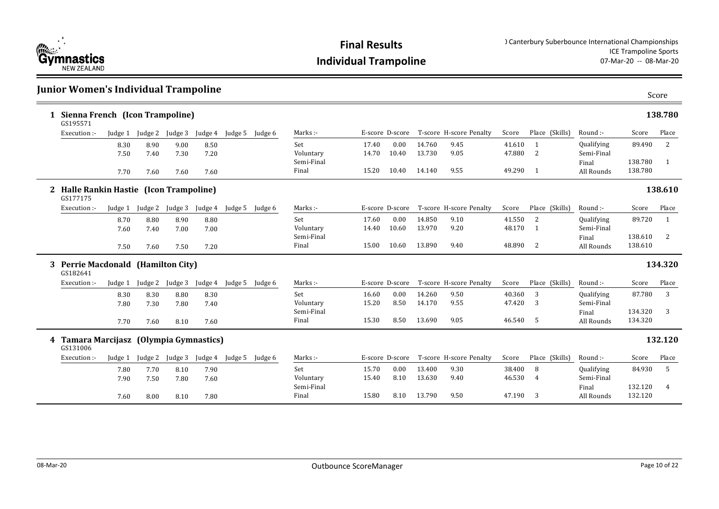

| <b>Junior Women's Individual Trampoline</b>         |              |                         |              |              |                         |         |                     |                |                 |                  |                                         |                  |                           |                                 |                    | Score   |
|-----------------------------------------------------|--------------|-------------------------|--------------|--------------|-------------------------|---------|---------------------|----------------|-----------------|------------------|-----------------------------------------|------------------|---------------------------|---------------------------------|--------------------|---------|
| Sienna French (Icon Trampoline)<br>GS195571         |              |                         |              |              |                         |         |                     |                |                 |                  |                                         |                  |                           |                                 |                    | 138.780 |
| Execution :-                                        |              | Judge 1 Judge 2 Judge 3 |              |              | Judge 4 Judge 5 Judge 6 |         | Marks:-             |                |                 |                  | E-score D-score T-score H-score Penalty | Score            | Place (Skills)            | Round :-                        | Score              | Place   |
|                                                     | 8.30<br>7.50 | 8.90<br>7.40            | 9.00<br>7.30 | 8.50<br>7.20 |                         |         | Set<br>Voluntary    | 17.40<br>14.70 | 0.00<br>10.40   | 14.760<br>13.730 | 9.45<br>9.05                            | 41.610<br>47.880 | -1<br>2                   | <b>Qualifying</b><br>Semi-Final | 89.490             | 2       |
|                                                     | 7.70         | 7.60                    | 7.60         | 7.60         |                         |         | Semi-Final<br>Final | 15.20          | 10.40           | 14.140           | 9.55                                    | 49.290 1         |                           | Final<br>All Rounds             | 138.780<br>138.780 | -1      |
| 2 Halle Rankin Hastie (Icon Trampoline)<br>GS177175 |              |                         |              |              |                         |         |                     |                |                 |                  |                                         |                  |                           |                                 |                    | 138.610 |
| Execution :-                                        | Judge 1      | Judge 2                 | Judge 3      |              | Judge 4 Judge 5         | Judge 6 | Marks:-             |                | E-score D-score |                  | T-score H-score Penalty                 | Score            | Place (Skills)            | Round:-                         | Score              | Place   |
|                                                     | 8.70<br>7.60 | 8.80<br>7.40            | 8.90<br>7.00 | 8.80<br>7.00 |                         |         | Set<br>Voluntary    | 17.60<br>14.40 | 0.00<br>10.60   | 14.850<br>13.970 | 9.10<br>9.20                            | 41.550<br>48.170 | 2<br><sup>1</sup>         | Qualifying<br>Semi-Final        | 89.720             | 1       |
|                                                     | 7.50         | 7.60                    | 7.50         | 7.20         |                         |         | Semi-Final<br>Final | 15.00          | 10.60           | 13.890           | 9.40                                    | 48.890           | 2                         | Final<br>All Rounds             | 138.610<br>138.610 | 2       |
| 3 Perrie Macdonald (Hamilton City)<br>GS182641      |              |                         |              |              |                         |         |                     |                |                 |                  |                                         |                  |                           |                                 |                    | 134.320 |
| Execution :-                                        | Judge 1      | Judge 2                 | Judge 3      | Judge 4      | Judge 5 Judge 6         |         | Marks:-             |                | E-score D-score |                  | T-score H-score Penalty                 | Score            | Place (Skills)            | Round :-                        | Score              | Place   |
|                                                     | 8.30<br>7.80 | 8.30<br>7.30            | 8.80<br>7.80 | 8.30<br>7.40 |                         |         | Set<br>Voluntary    | 16.60<br>15.20 | 0.00<br>8.50    | 14.260<br>14.170 | 9.50<br>9.55                            | 40.360<br>47.420 | 3<br>3                    | Qualifying<br>Semi-Final        | 87.780             | 3       |
|                                                     | 7.70         | 7.60                    | 8.10         | 7.60         |                         |         | Semi-Final<br>Final | 15.30          | 8.50            | 13.690           | 9.05                                    | 46.540           | 5                         | Final<br>All Rounds             | 134.320<br>134.320 | 3       |
| 4 Tamara Marcijasz (Olympia Gymnastics)<br>GS131006 |              |                         |              |              |                         |         |                     |                |                 |                  |                                         |                  |                           |                                 |                    | 132.120 |
| Execution :-                                        | Judge 1      | Judge 2                 | Judge 3      |              | Judge 4 Judge 5         | Judge 6 | Marks:-             |                | E-score D-score |                  | T-score H-score Penalty                 | Score            | Place (Skills)            | Round :-                        | Score              | Place   |
|                                                     | 7.80<br>7.90 | 7.70<br>7.50            | 8.10<br>7.80 | 7.90<br>7.60 |                         |         | Set<br>Voluntary    | 15.70<br>15.40 | 0.00<br>8.10    | 13.400<br>13.630 | 9.30<br>9.40                            | 38.400<br>46.530 | 8<br>4                    | Qualifying<br>Semi-Final        | 84.930             | 5       |
|                                                     | 7.60         | 8.00                    | 8.10         | 7.80         |                         |         | Semi-Final<br>Final | 15.80          | 8.10            | 13.790           | 9.50                                    | 47.190           | $\overline{\phantom{a}3}$ | Final<br>All Rounds             | 132.120<br>132.120 | 4       |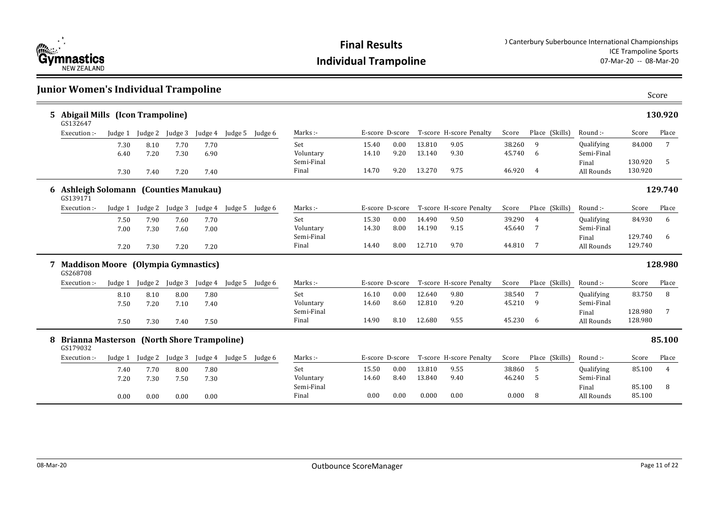

|   | <b>Junior Women's Individual Trampoline</b>                   |         |                         |         |         |                         |         |                     |       |                 |        |                                         |        |                 |                     |                    | Score   |
|---|---------------------------------------------------------------|---------|-------------------------|---------|---------|-------------------------|---------|---------------------|-------|-----------------|--------|-----------------------------------------|--------|-----------------|---------------------|--------------------|---------|
|   | 5 Abigail Mills (Icon Trampoline)<br>GS132647                 |         |                         |         |         |                         |         |                     |       |                 |        |                                         |        |                 |                     |                    | 130.920 |
|   | Execution :-                                                  |         | Judge 1 Judge 2 Judge 3 |         |         | Judge 4 Judge 5 Judge 6 |         | Marks:-             |       |                 |        | E-score D-score T-score H-score Penalty | Score  | Place (Skills)  | Round :-            | Score              | Place   |
|   |                                                               | 7.30    | 8.10                    | 7.70    | 7.70    |                         |         | Set                 | 15.40 | 0.00            | 13.810 | 9.05                                    | 38.260 | 9               | <b>Qualifying</b>   | 84.000             | 7       |
|   |                                                               | 6.40    | 7.20                    | 7.30    | 6.90    |                         |         | Voluntary           | 14.10 | 9.20            | 13.140 | 9.30                                    | 45.740 | 6               | Semi-Final          |                    |         |
|   |                                                               | 7.30    | 7.40                    | 7.20    | 7.40    |                         |         | Semi-Final<br>Final | 14.70 | 9.20            | 13.270 | 9.75                                    | 46.920 | $\overline{4}$  | Final<br>All Rounds | 130.920<br>130.920 | 5       |
|   | 6 Ashleigh Solomann (Counties Manukau)<br>GS139171            |         |                         |         |         |                         |         |                     |       |                 |        |                                         |        |                 |                     |                    | 129.740 |
|   | Execution :-                                                  | Judge 1 | Judge 2                 | Judge 3 |         | Judge 4 Judge 5         | Judge 6 | Marks:-             |       | E-score D-score |        | T-score H-score Penalty                 | Score  | Place (Skills)  | Round:-             | Score              | Place   |
|   |                                                               | 7.50    | 7.90                    | 7.60    | 7.70    |                         |         | Set                 | 15.30 | 0.00            | 14.490 | 9.50                                    | 39.290 | 4               | Qualifying          | 84.930             | 6       |
|   |                                                               | 7.00    | 7.30                    | 7.60    | 7.00    |                         |         | Voluntary           | 14.30 | 8.00            | 14.190 | 9.15                                    | 45.640 | $7\overline{ }$ | Semi-Final          |                    |         |
|   |                                                               |         |                         |         |         |                         |         | Semi-Final          |       | 8.00            |        | 9.70                                    | 44.810 | $7\overline{ }$ | Final               | 129.740<br>129.740 | 6       |
|   |                                                               | 7.20    | 7.30                    | 7.20    | 7.20    |                         |         | Final               | 14.40 |                 | 12.710 |                                         |        |                 | All Rounds          |                    |         |
|   | <b>Maddison Moore (Olympia Gymnastics)</b><br>GS268708        |         |                         |         |         |                         |         |                     |       |                 |        |                                         |        |                 |                     |                    | 128.980 |
|   | Execution :-                                                  | Judge 1 | Judge 2                 | Judge 3 | Judge 4 | Judge 5 Judge 6         |         | Marks:-             |       | E-score D-score |        | T-score H-score Penalty                 | Score  | Place (Skills)  | Round :-            | Score              | Place   |
|   |                                                               | 8.10    | 8.10                    | 8.00    | 7.80    |                         |         | Set                 | 16.10 | 0.00            | 12.640 | 9.80                                    | 38.540 | 7               | Qualifying          | 83.750             | 8       |
|   |                                                               | 7.50    | 7.20                    | 7.10    | 7.40    |                         |         | Voluntary           | 14.60 | 8.60            | 12.810 | 9.20                                    | 45.210 | 9               | Semi-Final          |                    |         |
|   |                                                               |         |                         |         |         |                         |         | Semi-Final          |       | 8.10            |        |                                         | 45.230 |                 | Final               | 128.980<br>128.980 | 7       |
|   |                                                               | 7.50    | 7.30                    | 7.40    | 7.50    |                         |         | Final               | 14.90 |                 | 12.680 | 9.55                                    |        | 6               | All Rounds          |                    |         |
| 8 | <b>Brianna Masterson (North Shore Trampoline)</b><br>GS179032 |         |                         |         |         |                         |         |                     |       |                 |        |                                         |        |                 |                     |                    | 85.100  |
|   | Execution :-                                                  | Judge 1 | Judge 2                 | Judge 3 |         | Judge 4 Judge 5         | Judge 6 | Marks:-             |       | E-score D-score |        | T-score H-score Penalty                 | Score  | Place (Skills)  | Round :-            | Score              | Place   |
|   |                                                               | 7.40    | 7.70                    | 8.00    | 7.80    |                         |         | Set                 | 15.50 | 0.00            | 13.810 | 9.55                                    | 38.860 | 5               | Qualifying          | 85.100             | 4       |
|   |                                                               | 7.20    | 7.30                    | 7.50    | 7.30    |                         |         | Voluntary           | 14.60 | 8.40            | 13.840 | 9.40                                    | 46.240 | 5               | Semi-Final          |                    |         |
|   |                                                               |         |                         |         |         |                         |         | Semi-Final          |       |                 |        |                                         |        |                 | Final               | 85.100             | 8       |
|   |                                                               | 0.00    | 0.00                    | 0.00    | 0.00    |                         |         | Final               | 0.00  | 0.00            | 0.000  | 0.00                                    | 0.000  | 8 <sup>8</sup>  | All Rounds          | 85.100             |         |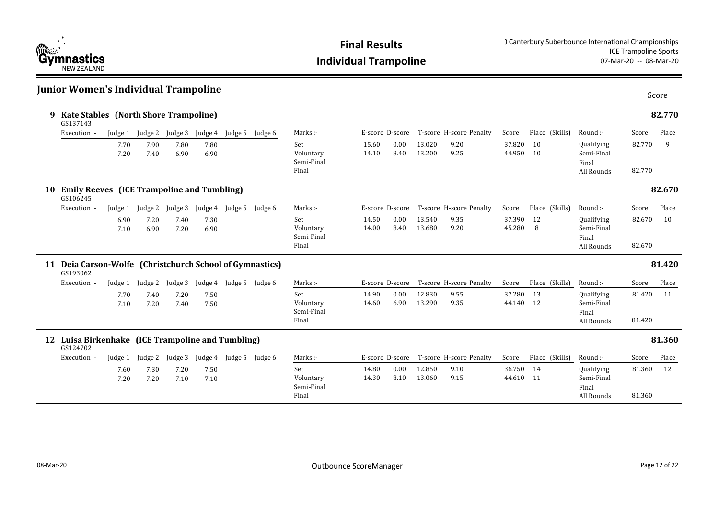

|    | Junior Women's Individual Trampoline                                 |              |              |                 |              |                 |         |                                         |                |                 |                  |                         |                  |                                |                                                        |                  | Score  |
|----|----------------------------------------------------------------------|--------------|--------------|-----------------|--------------|-----------------|---------|-----------------------------------------|----------------|-----------------|------------------|-------------------------|------------------|--------------------------------|--------------------------------------------------------|------------------|--------|
|    | 9 Kate Stables (North Shore Trampoline)<br>GS137143                  |              |              |                 |              |                 |         |                                         |                |                 |                  |                         |                  |                                |                                                        |                  | 82.770 |
|    | Execution :-                                                         | Judge 1      |              | Judge 2 Judge 3 | Judge 4      | Judge 5         | Judge 6 | Marks:-                                 |                | E-score D-score |                  | T-score H-score Penalty | Score            | Place (Skills)                 | Round :-                                               | Score            | Place  |
|    |                                                                      | 7.70<br>7.20 | 7.90<br>7.40 | 7.80<br>6.90    | 7.80<br>6.90 |                 |         | Set<br>Voluntary<br>Semi-Final<br>Final | 15.60<br>14.10 | 0.00<br>8.40    | 13.020<br>13.200 | 9.20<br>9.25            | 37.820<br>44.950 | <sup>10</sup><br><sup>10</sup> | Qualifying<br>Semi-Final<br>Final<br>All Rounds        | 82.770<br>82.770 | 9      |
| 10 | <b>Emily Reeves</b> (ICE Trampoline and Tumbling)<br>GS106245        |              |              |                 |              |                 |         |                                         |                |                 |                  |                         |                  |                                |                                                        |                  | 82.670 |
|    | Execution :-                                                         | Judge 1      | Judge 2      | Judge 3         |              | Judge 4 Judge 5 | Judge 6 | Marks:-                                 |                | E-score D-score |                  | T-score H-score Penalty | Score            | Place (Skills)                 | Round :-                                               | Score            | Place  |
|    |                                                                      | 6.90<br>7.10 | 7.20<br>6.90 | 7.40<br>7.20    | 7.30<br>6.90 |                 |         | Set<br>Voluntary<br>Semi-Final<br>Final | 14.50<br>14.00 | 0.00<br>8.40    | 13.540<br>13.680 | 9.35<br>9.20            | 37.390<br>45.280 | <sup>12</sup><br>8             | Qualifying<br>Semi-Final<br>Final<br>All Rounds        | 82.670<br>82.670 | 10     |
|    | 11 Deia Carson-Wolfe (Christchurch School of Gymnastics)<br>GS193062 |              |              |                 |              |                 |         |                                         |                |                 |                  |                         |                  |                                |                                                        |                  | 81.420 |
|    | Execution :-                                                         | Judge 1      | Judge 2      | Judge 3         | Judge 4      | Judge 5         | Judge 6 | Marks:-                                 |                | E-score D-score |                  | T-score H-score Penalty | Score            | Place (Skills)                 | Round :-                                               | Score            | Place  |
|    |                                                                      | 7.70<br>7.10 | 7.40<br>7.20 | 7.20<br>7.40    | 7.50<br>7.50 |                 |         | Set<br>Voluntary<br>Semi-Final<br>Final | 14.90<br>14.60 | 0.00<br>6.90    | 12.830<br>13.290 | 9.55<br>9.35            | 37.280<br>44.140 | 13<br>12                       | Qualifying<br>Semi-Final<br>Final<br>All Rounds        | 81.420<br>81.420 | 11     |
|    | 12 Luisa Birkenhake (ICE Trampoline and Tumbling)<br>GS124702        |              |              |                 |              |                 |         |                                         |                |                 |                  |                         |                  |                                |                                                        |                  | 81.360 |
|    | Execution :-                                                         | Judge 1      | Judge 2      | Judge 3         |              | Judge 4 Judge 5 | Judge 6 | Marks:-                                 |                | E-score D-score |                  | T-score H-score Penalty | Score            | Place (Skills)                 | Round :-                                               | Score            | Place  |
|    |                                                                      | 7.60<br>7.20 | 7.30<br>7.20 | 7.20<br>7.10    | 7.50<br>7.10 |                 |         | Set<br>Voluntary<br>Semi-Final<br>Final | 14.80<br>14.30 | 0.00<br>8.10    | 12.850<br>13.060 | 9.10<br>9.15            | 36.750<br>44.610 | 14<br>11                       | <b>Qualifying</b><br>Semi-Final<br>Final<br>All Rounds | 81.360<br>81.360 | 12     |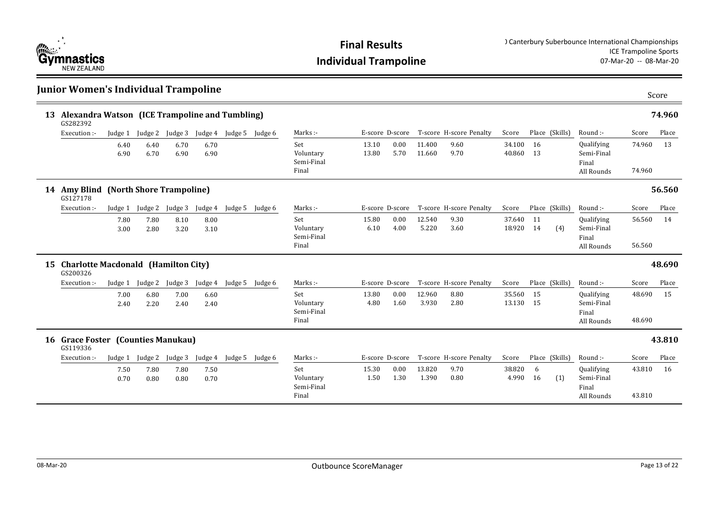

|    | Junior Women's Individual Trampoline                       |              |              |              |              |                         |                 |                                         |                |                 |                  |                         |                  |          |                |                                                 |                  | Score  |
|----|------------------------------------------------------------|--------------|--------------|--------------|--------------|-------------------------|-----------------|-----------------------------------------|----------------|-----------------|------------------|-------------------------|------------------|----------|----------------|-------------------------------------------------|------------------|--------|
| 13 | Alexandra Watson (ICE Trampoline and Tumbling)<br>GS282392 |              |              |              |              |                         |                 |                                         |                |                 |                  |                         |                  |          |                |                                                 |                  | 74.960 |
|    | Execution :-                                               | Judge 1      | Judge 2      | Judge 3      |              | Judge 4 Judge 5 Judge 6 |                 | Marks:-                                 |                | E-score D-score |                  | T-score H-score Penalty | Score            |          | Place (Skills) | Round :-                                        | Score            | Place  |
|    |                                                            | 6.40<br>6.90 | 6.40<br>6.70 | 6.70<br>6.90 | 6.70<br>6.90 |                         |                 | Set<br>Voluntary<br>Semi-Final<br>Final | 13.10<br>13.80 | 0.00<br>5.70    | 11.400<br>11.660 | 9.60<br>9.70            | 34.100<br>40.860 | 16<br>13 |                | Qualifying<br>Semi-Final<br>Final<br>All Rounds | 74.960<br>74.960 | 13     |
|    | 14 Amy Blind (North Shore Trampoline)<br>GS127178          |              |              |              |              |                         |                 |                                         |                |                 |                  |                         |                  |          |                |                                                 |                  | 56.560 |
|    | Execution :-                                               | Judge 1      | Judge 2      | Judge 3      | Judge 4      | Judge 5                 | Judge 6         | Marks:-                                 |                | E-score D-score |                  | T-score H-score Penalty | Score            |          | Place (Skills) | Round :-                                        | Score            | Place  |
|    |                                                            | 7.80<br>3.00 | 7.80<br>2.80 | 8.10<br>3.20 | 8.00<br>3.10 |                         |                 | Set<br>Voluntary<br>Semi-Final<br>Final | 15.80<br>6.10  | 0.00<br>4.00    | 12.540<br>5.220  | 9.30<br>3.60            | 37.640<br>18.920 | 11<br>14 | (4)            | Qualifying<br>Semi-Final<br>Final<br>All Rounds | 56.560<br>56.560 | 14     |
|    | 15 Charlotte Macdonald (Hamilton City)<br>GS200326         |              |              |              |              |                         |                 |                                         |                |                 |                  |                         |                  |          |                |                                                 |                  | 48.690 |
|    | Execution :-                                               | Judge 1      | Judge 2      | Judge 3      | Judge 4      | Judge 5                 | Judge 6         | Marks :-                                |                | E-score D-score |                  | T-score H-score Penalty | Score            |          | Place (Skills) | Round :-                                        | Score            | Place  |
|    |                                                            | 7.00<br>2.40 | 6.80<br>2.20 | 7.00<br>2.40 | 6.60<br>2.40 |                         |                 | Set<br>Voluntary<br>Semi-Final<br>Final | 13.80<br>4.80  | 0.00<br>1.60    | 12.960<br>3.930  | 8.80<br>2.80            | 35.560<br>13.130 | 15<br>15 |                | Qualifying<br>Semi-Final<br>Final<br>All Rounds | 48.690<br>48.690 | 15     |
|    | 16 Grace Foster (Counties Manukau)<br>GS119336             |              |              |              |              |                         |                 |                                         |                |                 |                  |                         |                  |          |                |                                                 |                  | 43.810 |
|    | Execution :-                                               | Judge 1      | Judge 2      | Judge 3      | Judge 4      |                         | Judge 5 Judge 6 | Marks:-                                 |                | E-score D-score |                  | T-score H-score Penalty | Score            |          | Place (Skills) | Round :-                                        | Score            | Place  |
|    |                                                            | 7.50<br>0.70 | 7.80<br>0.80 | 7.80<br>0.80 | 7.50<br>0.70 |                         |                 | Set<br>Voluntary<br>Semi-Final<br>Final | 15.30<br>1.50  | 0.00<br>1.30    | 13.820<br>1.390  | 9.70<br>0.80            | 38.820<br>4.990  | 6<br>16  | (1)            | Qualifying<br>Semi-Final<br>Final<br>All Rounds | 43.810<br>43.810 | 16     |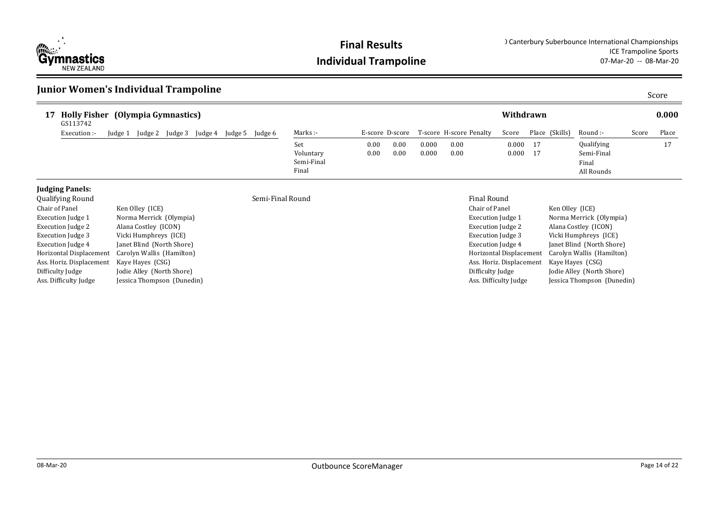

### **Junior Women's Individual Trampoline**

| 17 Holly Fisher (Olympia Gymnastics)<br>GS113742 |         |         |         |         |         |         |            |      |      |       |                                         | Withdrawn |                |            |       | 0.000 |
|--------------------------------------------------|---------|---------|---------|---------|---------|---------|------------|------|------|-------|-----------------------------------------|-----------|----------------|------------|-------|-------|
| Execution :-                                     | Judge 1 | Judge 2 | Judge 3 | Judge 4 | Judge 5 | Judge 6 | Marks:-    |      |      |       | E-score D-score T-score H-score Penalty | Score     | Place (Skills) | Round :-   | Score | Place |
|                                                  |         |         |         |         |         |         | Set        | 0.00 | 0.00 | 0.000 | 0.00                                    | 0.000 17  |                | Qualifying |       | 17    |
|                                                  |         |         |         |         |         |         | Voluntary  | 0.00 | 0.00 | 0.000 | 0.00                                    | 0.000 17  |                | Semi-Final |       |       |
|                                                  |         |         |         |         |         |         | Semi-Final |      |      |       |                                         |           |                | Final      |       |       |
|                                                  |         |         |         |         |         |         | Final      |      |      |       |                                         |           |                | All Rounds |       |       |

### **Judging Panels:**<br>Qualifying Round

| Qualifying Round         |                            | Semi-Final Round | <b>Final Round</b>   |
|--------------------------|----------------------------|------------------|----------------------|
| Chair of Panel           | Ken Olley (ICE)            |                  | Chair of Pane        |
| <b>Execution Judge 1</b> | Norma Merrick (Olympia)    |                  | Execution Juc        |
| Execution Judge 2        | Alana Costley (ICON)       |                  | Execution Juc        |
| <b>Execution Judge 3</b> | Vicki Humphreys (ICE)      |                  | Execution Juc        |
| Execution Judge 4        | Janet Blind (North Shore)  |                  | <b>Execution</b> Juc |
| Horizontal Displacement  | Carolyn Wallis (Hamilton)  |                  | Horizontal Di        |
| Ass. Horiz. Displacement | Kaye Hayes (CSG)           |                  | Ass. Horiz. Di       |
| Difficulty Judge         | Jodie Alley (North Shore)  |                  | Difficulty Jud       |
| Ass. Difficulty Judge    | Jessica Thompson (Dunedin) |                  | Ass. Difficulty      |

| Chair of Panel           | Ken Olley (ICE)            |
|--------------------------|----------------------------|
| Execution Judge 1        | Norma Merrick (Olympia)    |
| <b>Execution Judge 2</b> | Alana Costley (ICON)       |
| <b>Execution Judge 3</b> | Vicki Humphreys (ICE)      |
| <b>Execution Judge 4</b> | Janet Blind (North Shore)  |
| Horizontal Displacement  | Carolyn Wallis (Hamilton)  |
| Ass. Horiz. Displacement | Kaye Hayes (CSG)           |
| Difficulty Judge         | Jodie Alley (North Shore)  |
| Ass. Difficulty Judge    | Jessica Thompson (Dunedin) |
|                          |                            |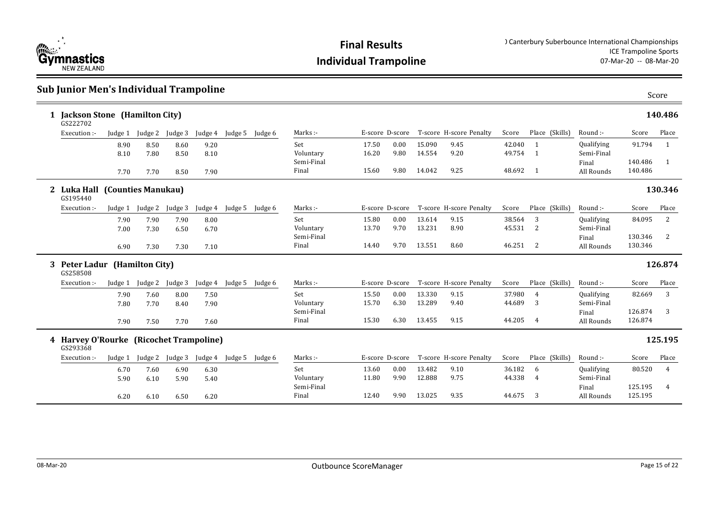

### **Sub Junior Men's Individual Trampoline**

| 1 Jackson Stone (Hamilton City)<br>GS222702         |              |              |              |              |                         |                 |                     |                 |              |                  |                                         |                  |                     |                          |                    | 140.486          |
|-----------------------------------------------------|--------------|--------------|--------------|--------------|-------------------------|-----------------|---------------------|-----------------|--------------|------------------|-----------------------------------------|------------------|---------------------|--------------------------|--------------------|------------------|
| Execution :-                                        | Judge 1      | Judge 2      | Judge 3      | Judge 4      | Judge 5 Judge 6         |                 | Marks:-             |                 |              |                  | E-score D-score T-score H-score Penalty | Score            | Place (Skills)      | Round :-                 | Score              | Place            |
|                                                     | 8.90<br>8.10 | 8.50<br>7.80 | 8.60<br>8.50 | 9.20<br>8.10 |                         |                 | Set<br>Voluntary    | 17.50<br>16.20  | 0.00<br>9.80 | 15.090<br>14.554 | 9.45<br>9.20                            | 42.040<br>49.754 | $\overline{1}$<br>1 | Qualifying<br>Semi-Final | 91.794             | 1                |
|                                                     | 7.70         | 7.70         | 8.50         | 7.90         |                         |                 | Semi-Final<br>Final | 15.60           | 9.80         | 14.042           | 9.25                                    | 48.692 1         |                     | Final<br>All Rounds      | 140.486<br>140.486 | $\overline{1}$   |
| 2 Luka Hall (Counties Manukau)<br>GS195440          |              |              |              |              |                         |                 |                     |                 |              |                  |                                         |                  |                     |                          |                    | 130.346          |
| Execution :-                                        | Judge 1      | Judge 2      | Judge 3      | Judge 4      |                         | Judge 5 Judge 6 | Marks:-             | E-score D-score |              |                  | T-score H-score Penalty                 | Score            | Place (Skills)      | Round :-                 | Score              | Place            |
|                                                     | 7.90<br>7.00 | 7.90<br>7.30 | 7.90<br>6.50 | 8.00<br>6.70 |                         |                 | Set<br>Voluntary    | 15.80<br>13.70  | 0.00<br>9.70 | 13.614<br>13.231 | 9.15<br>8.90                            | 38.564<br>45.531 | 3<br>2              | Qualifying<br>Semi-Final | 84.095             | 2                |
|                                                     | 6.90         | 7.30         | 7.30         | 7.10         |                         |                 | Semi-Final<br>Final | 14.40           | 9.70         | 13.551           | 8.60                                    | 46.251 2         |                     | Final<br>All Rounds      | 130.346<br>130.346 | 2                |
|                                                     |              |              |              |              |                         |                 |                     |                 |              |                  |                                         |                  |                     |                          |                    |                  |
| 3 Peter Ladur (Hamilton City)<br>GS258508           |              |              |              |              |                         |                 |                     |                 |              |                  |                                         |                  |                     |                          |                    | 126.874          |
| Execution:-                                         | Judge 1      | Judge 2      | Judge 3      |              | Judge 4 Judge 5 Judge 6 |                 | Marks:-             | E-score D-score |              |                  | T-score H-score Penalty                 | Score            | Place (Skills)      | Round :-                 | Score              | Place            |
|                                                     | 7.90<br>7.80 | 7.60<br>7.70 | 8.00<br>8.40 | 7.50         |                         |                 | Set<br>Voluntary    | 15.50<br>15.70  | 0.00<br>6.30 | 13.330<br>13.289 | 9.15<br>9.40                            | 37.980<br>44.689 | $\overline{4}$<br>3 | Qualifying<br>Semi-Final | 82.669             | 3                |
|                                                     | 7.90         | 7.50         | 7.70         | 7.90<br>7.60 |                         |                 | Semi-Final<br>Final | 15.30           | 6.30         | 13.455           | 9.15                                    | 44.205           | $\overline{4}$      | Final<br>All Rounds      | 126.874<br>126.874 | 3                |
| 4 Harvey O'Rourke (Ricochet Trampoline)<br>GS293368 |              |              |              |              |                         |                 |                     |                 |              |                  |                                         |                  |                     |                          |                    |                  |
| Execution :-                                        | Judge 1      | Judge 2      | Judge 3      |              | Judge 4 Judge 5 Judge 6 |                 | Marks:-             | E-score D-score |              |                  | T-score H-score Penalty                 | Score            | Place (Skills)      | Round :-                 | Score              | 125.195<br>Place |
|                                                     | 6.70<br>5.90 | 7.60<br>6.10 | 6.90<br>5.90 | 6.30<br>5.40 |                         |                 | Set<br>Voluntary    | 13.60<br>11.80  | 0.00<br>9.90 | 13.482<br>12.888 | 9.10<br>9.75                            | 36.182<br>44.338 | 6<br>$\overline{4}$ | Qualifying<br>Semi-Final | 80.520             | $\overline{4}$   |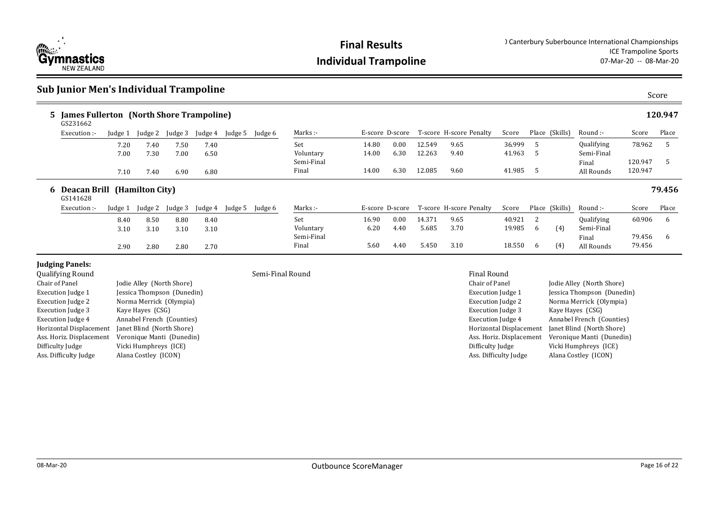

### **Sub Junior Men's Individual Trampoline**

| 5 James Fullerton (North Shore Trampoline)<br>GS231662 |              |              |              |              |         |         |                     |                 |              |                  |                         |                  |                |     |                          |                    | 120.947 |
|--------------------------------------------------------|--------------|--------------|--------------|--------------|---------|---------|---------------------|-----------------|--------------|------------------|-------------------------|------------------|----------------|-----|--------------------------|--------------------|---------|
| Execution :-                                           | Judge 1      | Judge 2      | Judge 3      | Judge 4      | Judge 5 | Judge 6 | Marks :-            | E-score D-score |              |                  | T-score H-score Penalty | Score            | Place (Skills) |     | Round :-                 | Score              | Place   |
|                                                        | 7.20<br>7.00 | 7.40<br>7.30 | 7.50<br>7.00 | 7.40<br>6.50 |         |         | Set<br>Voluntary    | 14.80<br>14.00  | 0.00<br>6.30 | 12.549<br>12.263 | 9.65<br>9.40            | 36.999<br>41.963 | .5<br>.5       |     | Qualifying<br>Semi-Final | 78.962             | .5      |
|                                                        | 7.10         | 7.40         | 6.90         | 6.80         |         |         | Semi-Final<br>Final | 14.00           | 6.30         | 12.085           | 9.60                    | 41.985 5         |                |     | Final<br>All Rounds      | 120.947<br>120.947 | .5      |
| 6 Deacan Brill (Hamilton City)<br>GS141628             |              |              |              |              |         |         |                     |                 |              |                  |                         |                  |                |     |                          |                    | 79.456  |
| Execution :-                                           | Judge 1      | Judge 2      | Judge 3      | Judge 4      | Judge 5 | Judge 6 | Marks:-             | E-score D-score |              |                  | T-score H-score Penalty | Score            | Place (Skills) |     | Round :-                 | Score              | Place   |
|                                                        | 8.40<br>3.10 | 8.50<br>3.10 | 8.80<br>3.10 | 8.40<br>3.10 |         |         | Set<br>Voluntary    | 16.90<br>6.20   | 0.00<br>4.40 | 14.371<br>5.685  | 9.65<br>3.70            | 40.921<br>19.985 | 6              | (4) | Qualifying<br>Semi-Final | 60.906             | 6       |
|                                                        | 2.90         | 2.80         | 2.80         | 2.70         |         |         | Semi-Final<br>Final | 5.60            | 4.40         | 5.450            | 3.10                    | 18.550           | 6              | (4) | Final<br>All Rounds      | 79.456<br>79.456   | -6      |

### **Judging Panels:**

| $\sim$ again, $\sim$ $\sim$ $\sim$ $\sim$ $\sim$ |                            |
|--------------------------------------------------|----------------------------|
| Chair of Panel                                   | Jodie Alley (North Shore)  |
| Execution Judge 1                                | Jessica Thompson (Dunedin) |
| <b>Execution Judge 2</b>                         | Norma Merrick (Olympia)    |
| Execution Judge 3                                | Kaye Hayes (CSG)           |
| <b>Execution Judge 4</b>                         | Annabel French (Counties)  |
| Horizontal Displacement                          | Janet Blind (North Shore)  |
| Ass. Horiz. Displacement                         | Veronique Manti (Dunedin)  |
| Difficulty Judge                                 | Vicki Humphreys (ICE)      |
| Ass. Difficulty Judge                            | Alana Costley (ICON)       |
|                                                  |                            |

Qualifying Round Final Round Semi-Final Round Semi-Final Round Final Round

| Chair of Panel           | Jodie Alley (North Shore)  |
|--------------------------|----------------------------|
| Execution Judge 1        | Jessica Thompson (Dunedin) |
| Execution Judge 2        | Norma Merrick (Olympia)    |
| <b>Execution Judge 3</b> | Kaye Hayes (CSG)           |
| Execution Judge 4        | Annabel French (Counties)  |
| Horizontal Displacement  | Janet Blind (North Shore)  |
| Ass. Horiz. Displacement | Veronique Manti (Dunedin)  |
| Difficulty Judge         | Vicki Humphreys (ICE)      |
| Ass. Difficulty Judge    | Alana Costley (ICON)       |
|                          |                            |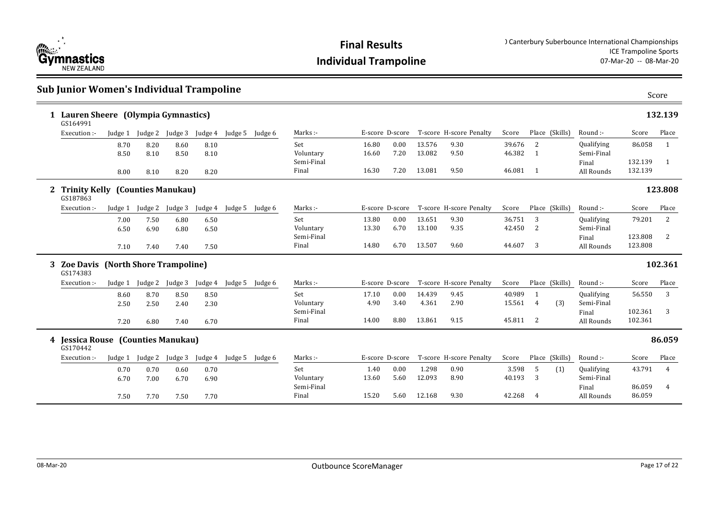

| <b>Sub Junior Women's Individual Trampoline</b>  |              |              |                 |              |                 |         |                     |                 |                 |                  |                         |                  |                            |                                 |                    | Score          |
|--------------------------------------------------|--------------|--------------|-----------------|--------------|-----------------|---------|---------------------|-----------------|-----------------|------------------|-------------------------|------------------|----------------------------|---------------------------------|--------------------|----------------|
| 1 Lauren Sheere (Olympia Gymnastics)<br>GS164991 |              |              |                 |              |                 |         |                     |                 |                 |                  |                         |                  |                            |                                 |                    | 132.139        |
| Execution :-                                     | Judge 1      |              | Judge 2 Judge 3 | Judge 4      | Judge 5         | Judge 6 | Marks:-             |                 | E-score D-score |                  | T-score H-score Penalty | Score            | Place (Skills)             | Round :-                        | Score              | Place          |
|                                                  | 8.70<br>8.50 | 8.20<br>8.10 | 8.60<br>8.50    | 8.10<br>8.10 |                 |         | Set<br>Voluntary    | 16.80<br>16.60  | 0.00<br>7.20    | 13.576<br>13.082 | 9.30<br>9.50            | 39.676<br>46.382 | 2<br>1                     | Qualifying<br>Semi-Final        | 86.058             | 1              |
|                                                  | 8.00         | 8.10         | 8.20            | 8.20         |                 |         | Semi-Final<br>Final | 16.30           | 7.20            | 13.081           | 9.50                    | 46.081 1         |                            | Final<br>All Rounds             | 132.139<br>132.139 | -1             |
| 2 Trinity Kelly (Counties Manukau)<br>GS187863   |              |              |                 |              |                 |         |                     |                 |                 |                  |                         |                  |                            |                                 |                    | 123.808        |
| Execution :-                                     | Judge 1      | Judge 2      | Judge 3         | Judge 4      | Judge 5         | Judge 6 | Marks:-             |                 | E-score D-score |                  | T-score H-score Penalty | Score            | Place (Skills)             | Round :-                        | Score              | Place          |
|                                                  | 7.00<br>6.50 | 7.50<br>6.90 | 6.80<br>6.80    | 6.50<br>6.50 |                 |         | Set<br>Voluntary    | 13.80<br>13.30  | 0.00<br>6.70    | 13.651<br>13.100 | 9.30<br>9.35            | 36.751<br>42.450 | 3<br>2                     | Qualifying<br>Semi-Final        | 79.201             | 2              |
|                                                  | 7.10         | 7.40         | 7.40            | 7.50         |                 |         | Semi-Final<br>Final | 14.80           | 6.70            | 13.507           | 9.60                    | 44.607           | 3                          | Final<br>All Rounds             | 123.808<br>123.808 | $\overline{2}$ |
| 3 Zoe Davis (North Shore Trampoline)<br>GS174383 |              |              |                 |              |                 |         |                     |                 |                 |                  |                         |                  |                            |                                 |                    | 102.361        |
| Execution :-                                     | Judge 1      | Judge 2      | Judge 3         | Judge 4      | Judge 5 Judge 6 |         | Marks:-             |                 | E-score D-score |                  | T-score H-score Penalty | Score            | Place (Skills)             | Round :-                        | Score              | Place          |
|                                                  | 8.60<br>2.50 | 8.70<br>2.50 | 8.50<br>2.40    | 8.50<br>2.30 |                 |         | Set<br>Voluntary    | 17.10<br>4.90   | 0.00<br>3.40    | 14.439<br>4.361  | 9.45<br>2.90            | 40.989<br>15.561 | $\overline{1}$<br>(3)<br>4 | <b>Qualifying</b><br>Semi-Final | 56.550             | 3              |
|                                                  | 7.20         | 6.80         | 7.40            | 6.70         |                 |         | Semi-Final<br>Final | 14.00           | 8.80            | 13.861           | 9.15                    | 45.811           | 2                          | Final<br>All Rounds             | 102.361<br>102.361 | 3              |
| 4 Jessica Rouse (Counties Manukau)<br>GS170442   |              |              |                 |              |                 |         |                     |                 |                 |                  |                         |                  |                            |                                 |                    | 86.059         |
| Execution :-                                     | Judge 1      | Judge 2      | Judge 3         | Judge 4      | Judge 5 Judge 6 |         | Marks:-             | E-score D-score |                 |                  | T-score H-score Penalty | Score            | Place (Skills)             | Round :-                        | Score              | Place          |
|                                                  | 0.70         | 0.70         | 0.60            | 0.70         |                 |         | Set                 | 1.40            | 0.00            | 1.298            | 0.90                    | 3.598            | 5<br>(1)                   | Qualifying                      | 43.791             | 4              |
|                                                  | 6.70         | 7.00         | 6.70            | 6.90         |                 |         | Voluntary           | 13.60           | 5.60            | 12.093           | 8.90                    | 40.193           | 3                          | Semi-Final                      |                    |                |
|                                                  | 7.50         | 7.70         | 7.50            | 7.70         |                 |         | Semi-Final<br>Final | 15.20           | 5.60            | 12.168           | 9.30                    | 42.268           | $\overline{4}$             | Final<br>All Rounds             | 86.059<br>86.059   | 4              |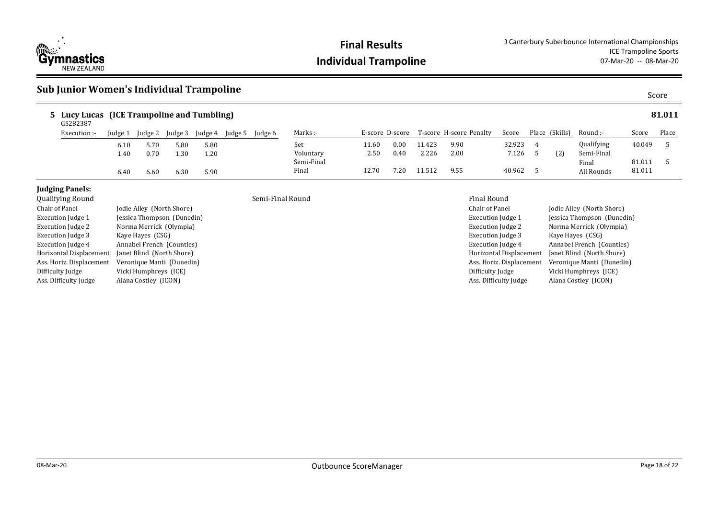

# **Individual Trampoline**

### **Sub Junior Women's Individual Trampoline** Score

| 5 Lucy Lucas (ICE Trampoline and Tumbling)<br>GS282387       |              |                           |              |              |         |                  |                     |                 |              |                 |                               |                 |          |                |                           |                  | 81.011 |
|--------------------------------------------------------------|--------------|---------------------------|--------------|--------------|---------|------------------|---------------------|-----------------|--------------|-----------------|-------------------------------|-----------------|----------|----------------|---------------------------|------------------|--------|
| Execution :-                                                 | Judge 1      | Judge 2                   | Judge 3      | Judge 4      | Judge 5 | Judge 6          | Marks :-            | E-score D-score |              |                 | T-score H-score Penalty       | Score           |          | Place (Skills) | Round :-                  | Score            | Place  |
|                                                              | 6.10<br>1.40 | 5.70<br>0.70              | 5.80<br>1.30 | 5.80<br>1.20 |         |                  | Set<br>Voluntary    | 11.60<br>2.50   | 0.00<br>0.40 | 11.423<br>2.226 | 9.90<br>2.00                  | 32.923<br>7.126 | 4<br>- 5 | (2)            | Qualifying<br>Semi-Final  | 40.049           |        |
|                                                              | 6.40         | 6.60                      | 6.30         | 5.90         |         |                  | Semi-Final<br>Final | 12.70           | 7.20         | 11.512          | 9.55                          | 40.962          |          |                | Final<br>All Rounds       | 81.011<br>81.011 |        |
| <b>Judging Panels:</b><br>Qualifying Round<br>Chair of Panel |              | Jodie Alley (North Shore) |              |              |         | Semi-Final Round |                     |                 |              |                 | Final Round<br>Chair of Panel |                 |          |                | Jodie Alley (North Shore) |                  |        |

| Chair of Panel           | Jodie Alley (North Shore)  |
|--------------------------|----------------------------|
| <b>Execution Judge 1</b> | Jessica Thompson (Dunedin) |
| <b>Execution Judge 2</b> | Norma Merrick (Olympia)    |
| <b>Execution Judge 3</b> | Kaye Hayes (CSG)           |
| <b>Execution Judge 4</b> | Annabel French (Counties)  |
| Horizontal Displacement  | Janet Blind (North Shore)  |
| Ass. Horiz. Displacement | Veronique Manti (Dunedin)  |
| Difficulty Judge         | Vicki Humphreys (ICE)      |
| Ass. Difficulty Judge    | Alana Costley (ICON)       |
|                          |                            |

| Chair of Panel           | Jodie Alley (North Shore)  |
|--------------------------|----------------------------|
| Execution Judge 1        | Jessica Thompson (Dunedin) |
| <b>Execution Judge 2</b> | Norma Merrick (Olympia)    |
| Execution Judge 3        | Kaye Hayes (CSG)           |
| <b>Execution Judge 4</b> | Annabel French (Counties)  |
| Horizontal Displacement  | Janet Blind (North Shore)  |
| Ass. Horiz. Displacement | Veronique Manti (Dunedin)  |
| Difficulty Judge         | Vicki Humphreys (ICE)      |
| Ass. Difficulty Judge    | Alana Costley (ICON)       |
|                          |                            |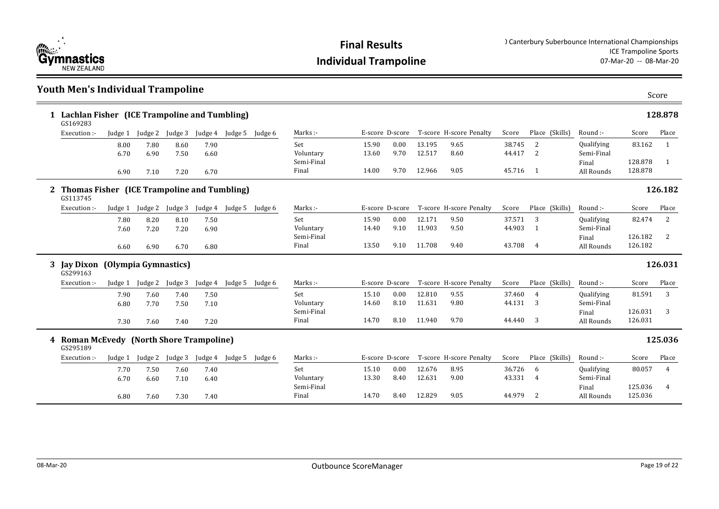

14.70 8.40 12.829 9.05 44.979 2 All Rounds 125.036

### **Youth Men's Individual Trampoline** Score **Lachlan Fisher (ICE Trampoline and Tumbling) 1 128.878** 15.90 0.00 13.195 9.65 38.745 2 13.60 9.70 12.517 8.60 44.417 2 14.00 9.70 12.966 9.05 45.716 1 All Rounds 128.878 Set Voluntary Semi-Final Final Marks :- The Score D-score T-score H-score Penalty Score Place (Skills) Round :-Qualifying Semi-Final Final All Rounds Score Place 83.162 1 128.878 1 (Skills) GS169283 Execution :- Judge 1 Judge 2 Judge 3 Judge 4 Judge 5 Judge 6 8.00 7.80 8.60 7.90 6.70 6.90 7.50 6.60 6.90 7.10 7.20 6.70 **Thomas Fisher (ICE Trampoline and Tumbling) 2 126.182** 15.90 0.00 12.171 9.50 0.00 37.571 3 14.40 9.10 11.903 9.50 44.903 1 13.50 9.10 11.708 9.40 43.708 4 All Rounds 126.182 Set Voluntary Semi-Final Final Marks :- F-score D-score T-score H-score Penalty Score Place (Skills) Round :-Qualifying Semi-Final Final Score Place 82.474 2 126.182 2 Place (Skills) GS113745 Execution :- Judge 1 Judge 2 Judge 3 Judge 4 Judge 5 Judge 6 7.80 8.20 8.10 7.50 7.60 7.20 7.20 6.90 6.60 6.90 6.70 6.80 **Jay Dixon (Olympia Gymnastics) 3 126.031** 15.10 0.00 12.810 9.55 37.460 4 14.60 8.10 11.631 9.80 44.131 3 14.70 8.10 11.940 9.70 44.440 3 All Rounds 126.031 Set Voluntary Semi-Final Final Marks :- T-score D-score T-score H-score Penalty Score Place (Skills) Round :-Qualifying Semi-Final Final Score Place 81.591 3 126.031 3 Place (Skills) GS299163 Execution :- Judge 1 Judge 2 Judge 3 Judge 4 Judge 5 Judge 6 7.90 7.60 7.40 7.50 6.80 7.70 7.50 7.10 7.30 7.60 7.40 7.20 **Roman McEvedy (North Shore Trampoline) 4 125.036** 15.10 0.00 12.676 8.95 36.726 6 13.30 8.40 12.631 9.00 43.331 4 Set Voluntary Semi-Final Final Marks :- T-score D-score T-score H-score Penalty Score Place (Skills) Round :-Qualifying Semi-Final Final Score Place 80.057 4 125.036 4 Place (Skills) GS295189 Execution :- Judge 1 Judge 2 Judge 3 Judge 4 Judge 5 Judge 6 7.70 7.50 7.60 7.40 6.70 6.60 7.10 6.40

6.80 7.60 7.30 7.40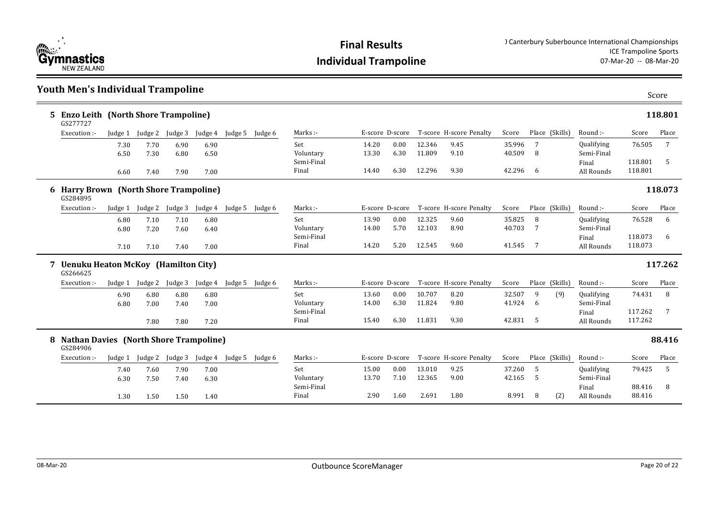

### **Youth Men's Individual Trampoline**

|    | 5 Enzo Leith (North Shore Trampoline)<br>GS277727         |         |         |         |         |                 |            |                 |      |        |                         |        |                |            |         | 118.801         |
|----|-----------------------------------------------------------|---------|---------|---------|---------|-----------------|------------|-----------------|------|--------|-------------------------|--------|----------------|------------|---------|-----------------|
|    | Execution :-                                              | Judge 1 | Judge 2 | Judge 3 | Judge 4 | Judge 5 Judge 6 | Marks:-    | E-score D-score |      |        | T-score H-score Penalty | Score  | Place (Skills) | Round :-   | Score   | Place           |
|    |                                                           | 7.30    | 7.70    | 6.90    | 6.90    |                 | Set        | 14.20           | 0.00 | 12.346 | 9.45                    | 35.996 | 7              | Qualifying | 76.505  | 7               |
|    |                                                           | 6.50    | 7.30    | 6.80    | 6.50    |                 | Voluntary  | 13.30           | 6.30 | 11.809 | 9.10                    | 40.509 | 8              | Semi-Final |         |                 |
|    |                                                           |         |         |         |         |                 | Semi-Final |                 |      |        |                         |        |                | Final      | 118.801 | 5               |
|    |                                                           | 6.60    | 7.40    | 7.90    | 7.00    |                 | Final      | 14.40           | 6.30 | 12.296 | 9.30                    | 42.296 | -6             | All Rounds | 118.801 |                 |
|    | 6 Harry Brown (North Shore Trampoline)<br>GS284895        |         |         |         |         |                 |            |                 |      |        |                         |        |                |            |         | 118.073         |
|    | Execution:                                                | Judge 1 | Judge 2 | Judge 3 | Judge 4 | Judge 5 Judge 6 | Marks:-    | E-score D-score |      |        | T-score H-score Penalty | Score  | Place (Skills) | Round :-   | Score   | Place           |
|    |                                                           | 6.80    | 7.10    | 7.10    | 6.80    |                 | Set        | 13.90           | 0.00 | 12.325 | 9.60                    | 35.825 | 8              | Qualifying | 76.528  | 6               |
|    |                                                           | 6.80    | 7.20    | 7.60    | 6.40    |                 | Voluntary  | 14.00           | 5.70 | 12.103 | 8.90                    | 40.703 | 7              | Semi-Final |         |                 |
|    |                                                           |         |         |         |         |                 | Semi-Final |                 |      |        |                         |        |                | Final      | 118.073 | -6              |
|    |                                                           | 7.10    | 7.10    | 7.40    | 7.00    |                 | Final      | 14.20           | 5.20 | 12.545 | 9.60                    | 41.545 | -7             | All Rounds | 118.073 |                 |
|    | 7 Uenuku Heaton McKoy (Hamilton City)<br>GS266625         |         |         |         |         |                 |            |                 |      |        |                         |        |                |            |         | 117.262         |
|    | Execution :-                                              | Judge 1 | Judge 2 | Judge 3 | Judge 4 | Judge 5 Judge 6 | Marks:-    | E-score D-score |      |        | T-score H-score Penalty | Score  | Place (Skills) | Round :-   | Score   | Place           |
|    |                                                           | 6.90    | 6.80    | 6.80    | 6.80    |                 | Set        | 13.60           | 0.00 | 10.707 | 8.20                    | 32.507 | 9<br>(9)       | Qualifying | 74.431  | 8               |
|    |                                                           |         |         |         |         |                 |            |                 |      |        |                         |        |                |            |         |                 |
|    |                                                           | 6.80    | 7.00    | 7.40    | 7.00    |                 | Voluntary  | 14.00           | 6.30 | 11.824 | 9.80                    | 41.924 | 6              | Semi-Final |         |                 |
|    |                                                           |         |         |         |         |                 | Semi-Final |                 |      |        |                         |        |                | Final      | 117.262 | $7\overline{ }$ |
|    |                                                           |         | 7.80    | 7.80    | 7.20    |                 | Final      | 15.40           | 6.30 | 11.831 | 9.30                    | 42.831 | - 5            | All Rounds | 117.262 |                 |
| 8. | <b>Nathan Davies (North Shore Trampoline)</b><br>GS284906 |         |         |         |         |                 |            |                 |      |        |                         |        |                |            |         | 88.416          |
|    | Execution :-                                              | Judge 1 | Judge 2 | Judge 3 | Judge 4 | Judge 5 Judge 6 | Marks:-    | E-score D-score |      |        | T-score H-score Penalty | Score  | Place (Skills) | Round :-   | Score   | Place           |
|    |                                                           | 7.40    | 7.60    | 7.90    | 7.00    |                 | Set        | 15.00           | 0.00 | 13.010 | 9.25                    | 37.260 | 5              | Qualifying | 79.425  | 5               |
|    |                                                           | 6.30    | 7.50    | 7.40    | 6.30    |                 | Voluntary  | 13.70           | 7.10 | 12.365 | 9.00                    | 42.165 | 5              | Semi-Final |         |                 |
|    |                                                           |         |         |         |         |                 | Semi-Final |                 |      |        |                         |        |                | Final      | 88.416  | 8               |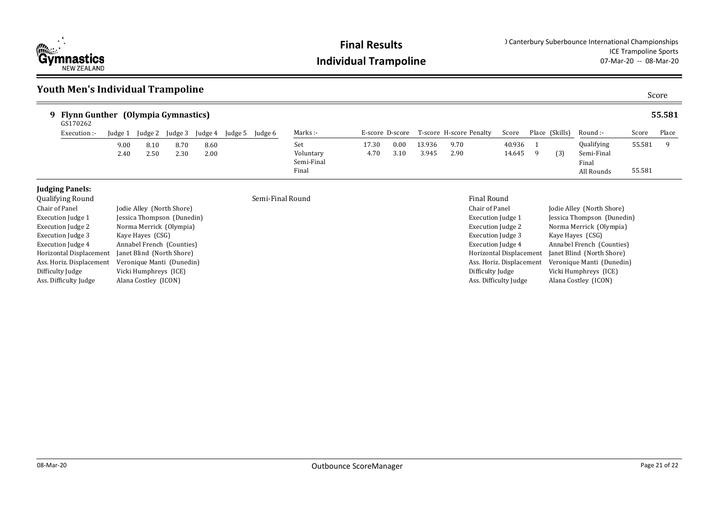

### **Youth Men's Individual Trampoline**

| Flynn Gunther (Olympia Gymnastics)<br>GS170262 |              |              |              |              |         |         |                                |               |              |                 |                                         |                  |   |                |                                   |        | 55.581 |
|------------------------------------------------|--------------|--------------|--------------|--------------|---------|---------|--------------------------------|---------------|--------------|-----------------|-----------------------------------------|------------------|---|----------------|-----------------------------------|--------|--------|
| Execution :-                                   | Judge 1      | Judge 2      | Judge 3      | Judge 4      | Judge 5 | Judge 6 | Marks :-                       |               |              |                 | E-score D-score T-score H-score Penalty | Score            |   | Place (Skills) | Round :-                          | Score  | Place  |
|                                                | 9.00<br>2.40 | 8.10<br>2.50 | 8.70<br>2.30 | 8.60<br>2.00 |         |         | Set<br>Voluntary<br>Semi-Final | 17.30<br>4.70 | 0.00<br>3.10 | 13.936<br>3.945 | 9.70<br>2.90                            | 40.936<br>14.645 | q | (3)            | Qualifying<br>Semi-Final<br>Final | 55.581 |        |
|                                                |              |              |              |              |         |         | Final                          |               |              |                 |                                         |                  |   |                | All Rounds                        | 55.581 |        |
|                                                |              |              |              |              |         |         |                                |               |              |                 |                                         |                  |   |                |                                   |        |        |

### **Judging Panels:**<br>Qualifying Round

| <b>Qualifying Round</b>  |                            | Semi-Final Round | <b>Final Round</b>   |
|--------------------------|----------------------------|------------------|----------------------|
| Chair of Panel           | Jodie Alley (North Shore)  |                  | Chair of Pane        |
| Execution Judge 1        | Jessica Thompson (Dunedin) |                  | <b>Execution</b> Juc |
| <b>Execution Judge 2</b> | Norma Merrick (Olympia)    |                  | Execution Juc        |
| <b>Execution Judge 3</b> | Kaye Hayes (CSG)           |                  | <b>Execution</b> Juc |
| <b>Execution Judge 4</b> | Annabel French (Counties)  |                  | Execution Juc        |
| Horizontal Displacement  | Janet Blind (North Shore)  |                  | Horizontal Di        |
| Ass. Horiz. Displacement | Veronique Manti (Dunedin)  |                  | Ass. Horiz. Di       |
| Difficulty Judge         | Vicki Humphreys (ICE)      |                  | Difficulty Jud       |
| Ass. Difficulty Judge    | Alana Costley (ICON)       |                  | Ass. Difficulty      |
|                          |                            |                  |                      |

| Chair of Panel           | Jodie Alley (North Shore)  |
|--------------------------|----------------------------|
| Execution Judge 1        | Jessica Thompson (Dunedin) |
| <b>Execution Judge 2</b> | Norma Merrick (Olympia)    |
| <b>Execution Judge 3</b> | Kaye Hayes (CSG)           |
| <b>Execution Judge 4</b> | Annabel French (Counties)  |
| Horizontal Displacement  | Janet Blind (North Shore)  |
| Ass. Horiz. Displacement | Veronique Manti (Dunedin)  |
| Difficulty Judge         | Vicki Humphreys (ICE)      |
| Ass. Difficulty Judge    | Alana Costley (ICON)       |
|                          |                            |